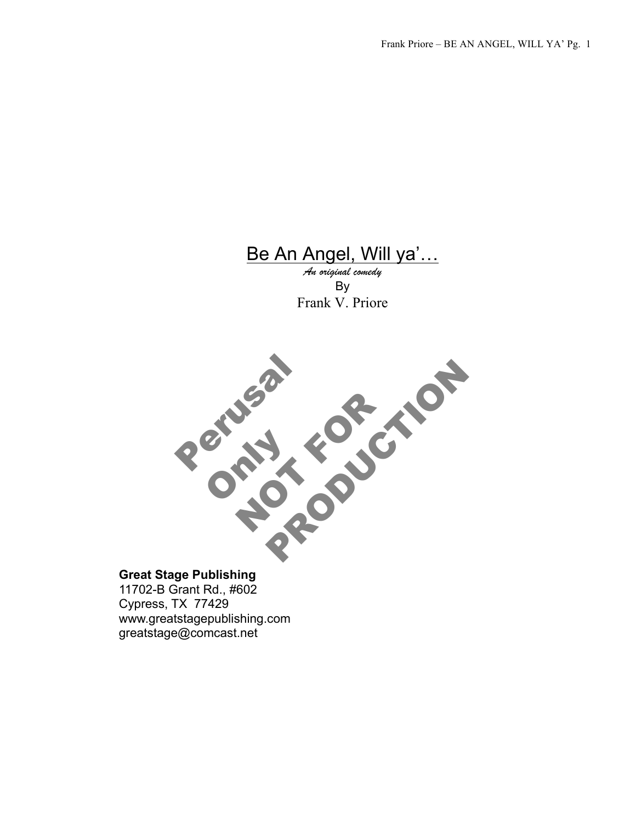# Be An Angel, Will ya'…

*An original comedy* By Frank V. Priore



## **Great Stage Publishing**

11702-B Grant Rd., #602 Cypress, TX 77429 www.greatstagepublishing.com greatstage@comcast.net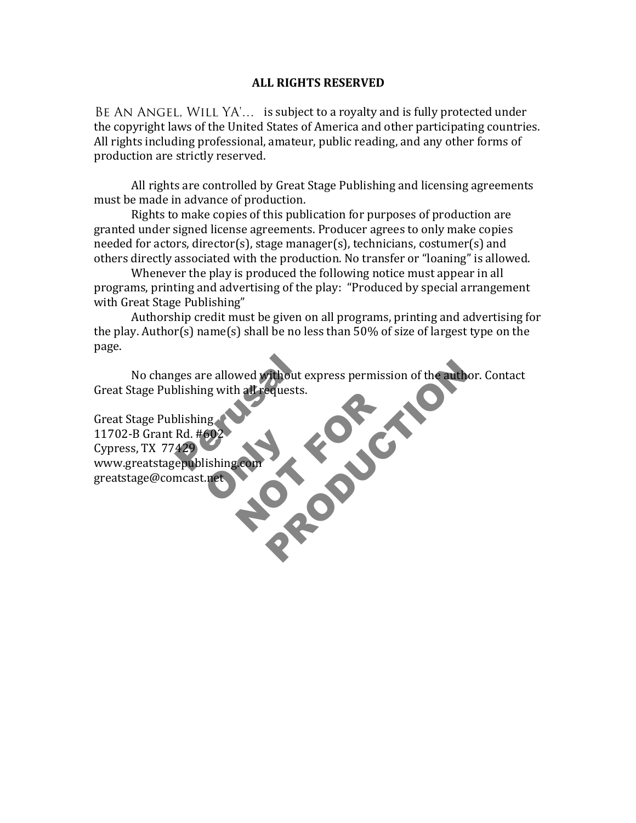#### **ALL RIGHTS RESERVED**

BE AN ANGEL, WILL YA'... is subject to a royalty and is fully protected under the copyright laws of the United States of America and other participating countries. All rights including professional, amateur, public reading, and any other forms of production are strictly reserved.

All rights are controlled by Great Stage Publishing and licensing agreements must be made in advance of production.

Rights to make copies of this publication for purposes of production are granted under signed license agreements. Producer agrees to only make copies needed for actors, director(s), stage manager(s), technicians, costumer(s) and others directly associated with the production. No transfer or "loaning" is allowed.

Whenever the play is produced the following notice must appear in all programs, printing and advertising of the play: "Produced by special arrangement with Great Stage Publishing"

Authorship credit must be given on all programs, printing and advertising for the play. Author(s) name(s) shall be no less than  $50\%$  of size of largest type on the page.

Explored Express permission of the author. Cont. No changes are allowed without express permission of the author. Contact Great Stage Publishing with all requests.

ges are allowed without explishing with all requests.<br>Dishing with all requests.<br>Dishing Rd. #602<br>429 602<br>lishing.com NOT FOR SOLD Great Stage Publishing 11702-B Grant Rd. #602 Cypress, TX 77429 www.greatstagepublishing.com!! greatstage@comcast.net!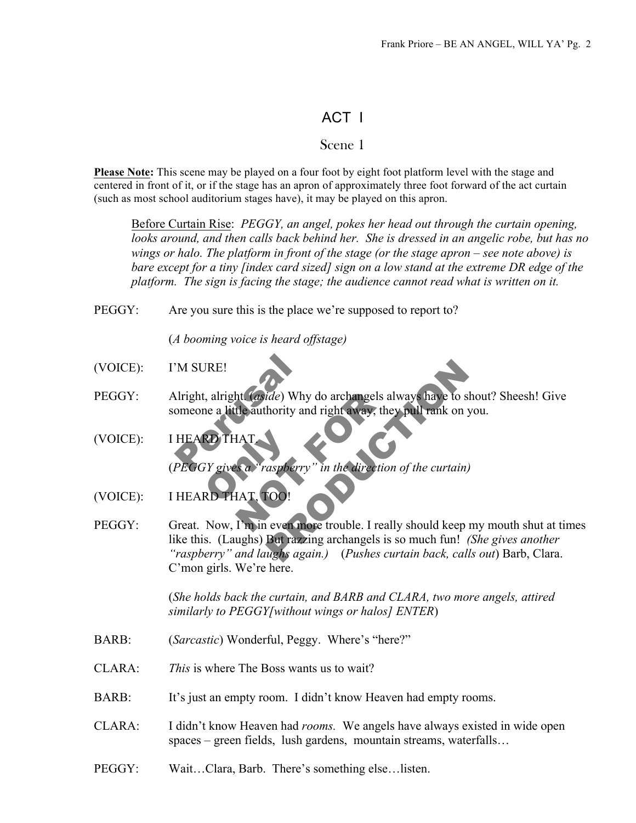## ACT I

## Scene 1

**Please Note:** This scene may be played on a four foot by eight foot platform level with the stage and centered in front of it, or if the stage has an apron of approximately three foot forward of the act curtain (such as most school auditorium stages have), it may be played on this apron.

Before Curtain Rise: *PEGGY, an angel, pokes her head out through the curtain opening, looks around, and then calls back behind her. She is dressed in an angelic robe, but has no wings or halo. The platform in front of the stage (or the stage apron – see note above) is bare except for a tiny [index card sized] sign on a low stand at the extreme DR edge of the platform. The sign is facing the stage; the audience cannot read what is written on it.*

PEGGY: Are you sure this is the place we're supposed to report to?

(*A booming voice is heard offstage)*

- (VOICE): I'M SURE!
- PEGGY: Alright, alright. (*aside*) Why do archangels always have to shout? Sheesh! Give someone a little authority and right away, they pull rank on you.
- M SURE!<br>
Nright, alright (aside) Why comeone a little authority and<br>
HEARD THAT<br>
PEGGY gives a "raspberry" RD THAT<br>FY gives a "raspberry<br>RD THAT, TOO! ht (*aside*) Why do archangels alw<br>the authority and right away, they<br>HAT<br>HAT, TOO!<br>HAT, TOO! (VOICE): I HEARD THAT.

(*PEGGY gives a "raspberry" in the direction of the curtain)*

- (VOICE): I HEARD THAT, TOO!
- Transfer Wildelland School School School School School School School School School School School School School School School School School School School School School School School School School School School School School PEGGY: Great. Now, I'm in even more trouble. I really should keep my mouth shut at times like this. (Laughs) But razzing archangels is so much fun! *(She gives another "raspberry" and laughs again.)* (*Pushes curtain back, calls out*) Barb, Clara. C'mon girls. We're here.

 (*She holds back the curtain, and BARB and CLARA, two more angels, attired similarly to PEGGY[without wings or halos] ENTER*)

- BARB: (*Sarcastic*) Wonderful, Peggy. Where's "here?"
- CLARA: *This* is where The Boss wants us to wait?
- BARB: It's just an empty room. I didn't know Heaven had empty rooms.
- CLARA: I didn't know Heaven had *rooms.* We angels have always existed in wide open spaces – green fields, lush gardens, mountain streams, waterfalls…
- PEGGY: Wait…Clara, Barb. There's something else…listen.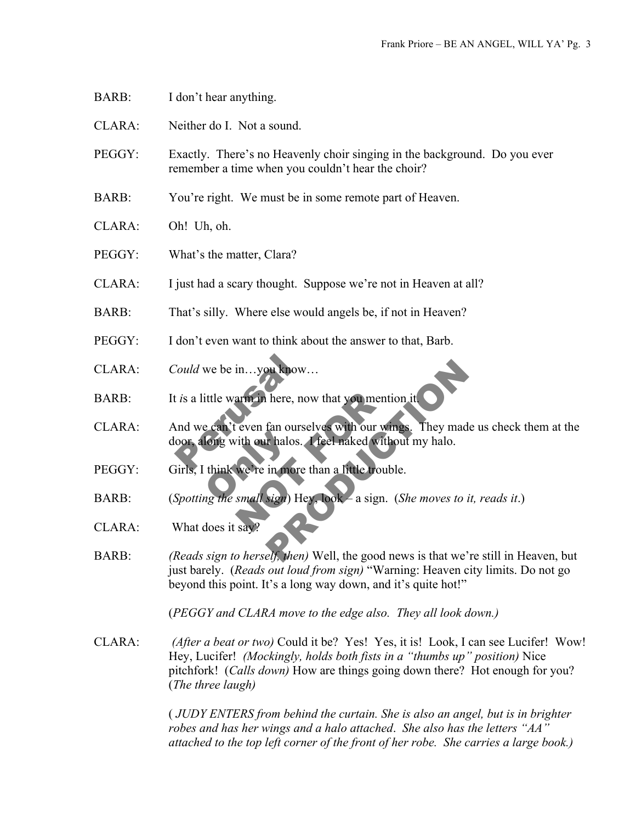- BARB: I don't hear anything.
- CLARA: Neither do I. Not a sound.
- PEGGY: Exactly. There's no Heavenly choir singing in the background. Do you ever remember a time when you couldn't hear the choir?
- BARB: You're right. We must be in some remote part of Heaven.
- CLARA: Oh! Uh, oh.
- PEGGY: What's the matter, Clara?
- CLARA: I just had a scary thought. Suppose we're not in Heaven at all?
- BARB: That's silly. Where else would angels be, if not in Heaven?
- PEGGY: I don't even want to think about the answer to that, Barb.
- CLARA: *Could* we be in…you know…
- BARB: It *is* a little warm in here, now that you mention it.
- Could we be in...you know...<br>t is a little warm in here, now<br>and we can't even fan oursely<br>oor, along with our halos. Fong with our halos.<br>
think we're in more<br>
mg the small sign) He arm in here, now that you mention<br>even fan ourselves with our wing<br>ith our halos. I feel naked without<br>we're in more than a little trouble<br>small sign) Hey, Jook – a sign. (S Du know...<br>
There, now that you mention it<br>
fan ourselves with our wings. They made us check<br>
thalos. I feel naked without my halo.<br>
in more than a little trouble.<br>
Sign) Hey Look – a sign. (She moves to it, reads<br>
elf, th CLARA: And we can't even fan ourselves with our wings. They made us check them at the door, along with our halos. I feel naked without my halo.
- PEGGY: Girls, I think we're in more than a little trouble.
- BARB: (*Spotting the small sign*) Hey, look a sign. (*She moves to it, reads it*.)
- CLARA: What does it say
- BARB: *(Reads sign to herself, then)* Well, the good news is that we're still in Heaven, but just barely. (*Reads out loud from sign)* "Warning: Heaven city limits. Do not go beyond this point. It's a long way down, and it's quite hot!"

(*PEGGY and CLARA move to the edge also. They all look down.)*

CLARA: *(After a beat or two)* Could it be? Yes! Yes, it is! Look, I can see Lucifer! Wow! Hey, Lucifer! *(Mockingly, holds both fists in a "thumbs up" position)* Nice pitchfork! (*Calls down)* How are things going down there? Hot enough for you? (*The three laugh)*

> ( *JUDY ENTERS from behind the curtain. She is also an angel, but is in brighter robes and has her wings and a halo attached*. *She also has the letters "AA" attached to the top left corner of the front of her robe. She carries a large book.)*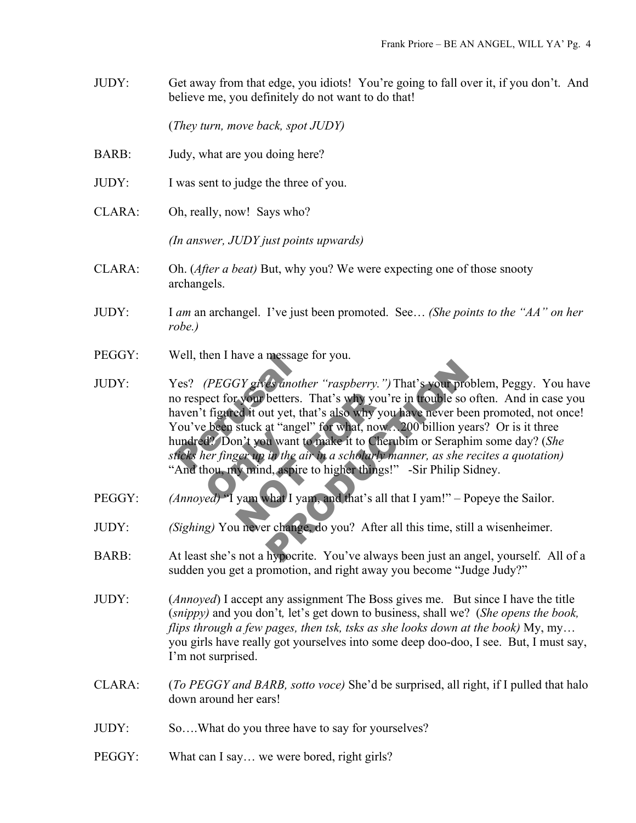JUDY: Get away from that edge, you idiots! You're going to fall over it, if you don't. And believe me, you definitely do not want to do that!

(*They turn, move back, spot JUDY)*

- BARB: Judy, what are you doing here?
- JUDY: I was sent to judge the three of you.
- CLARA: Oh, really, now! Says who?

*(In answer, JUDY just points upwards)*

- CLARA: Oh. (*After a beat)* But, why you? We were expecting one of those snooty archangels.
- JUDY: I *am* an archangel. I've just been promoted. See… *(She points to the "AA" on her robe.)*
- PEGGY: Well, then I have a message for you.
- Vell, then I have a message ro<br>
Yes? (PEGGY gives another<br>
o respect for your betters. Tl<br>
aven't figured it out yet, that<br>
You've been stuck at "angel"<br>
undred? Don't you want to the<br>
ticks her finger up in the air  $d$ ? Don't you want the dividend the contract of the contract of the contract of the contract of the contract of  $\frac{d}{dt}$  van what I ya r your betters. That's why you're<br>ed it out yet, that's also why you're<br>stuck at "angel" for what, now...<br>n't you want to make it to Cherul<br>ger up in the air in a scholarly may<br>while, aspire to higher things!"<br>yam what I y Es another "raspberry.") That's your problem, Pe<br>betters. That's why you're in trouble so often. A<br>ut yet, that's also why you have never been prom-<br>at "angel" for what, now... 200 billion years? Or<br>in want to make it to C JUDY: Yes? *(PEGGY gives another "raspberry.")*That's your problem, Peggy. You have no respect for your betters. That's why you're in trouble so often. And in case you haven't figured it out yet, that's also why you have never been promoted, not once! You've been stuck at "angel" for what, now…200 billion years? Or is it three hundred? Don't you want to make it to Cherubim or Seraphim some day? (*She sticks her finger up in the air in a scholarly manner, as she recites a quotation)*  "And thou, my mind, aspire to higher things!" -Sir Philip Sidney.
- PEGGY: *(Annoyed)* "I yam what I yam, and that's all that I yam!" Popeye the Sailor.
- JUDY: *(Sighing)* You never change, do you? After all this time, still a wisenheimer.
- BARB: At least she's not a hypocrite. You've always been just an angel, yourself. All of a sudden you get a promotion, and right away you become "Judge Judy?"
- JUDY: (*Annoyed*) I accept any assignment The Boss gives me. But since I have the title (*snippy)* and you don't*,* let's get down to business, shall we? (*She opens the book, flips through a few pages, then tsk, tsks as she looks down at the book)* My, my… you girls have really got yourselves into some deep doo-doo, I see. But, I must say, I'm not surprised.
- CLARA: (*To PEGGY and BARB, sotto voce)* She'd be surprised, all right, if I pulled that halo down around her ears!
- JUDY: So….What do you three have to say for yourselves?
- PEGGY: What can I say... we were bored, right girls?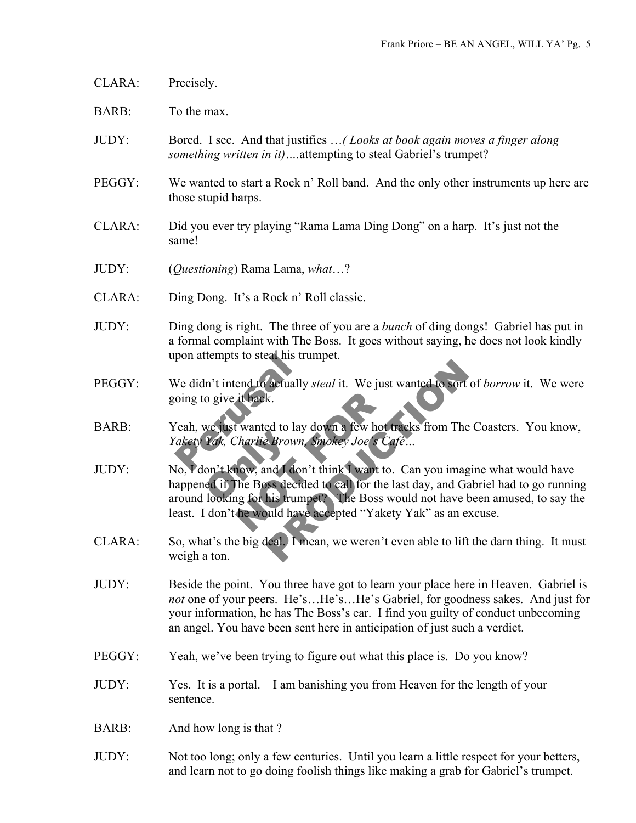- CLARA: Precisely.
- BARB: To the max.
- JUDY: Bored. I see. And that justifies …*( Looks at book again moves a finger along something written in it)….*attempting to steal Gabriel's trumpet?
- PEGGY: We wanted to start a Rock n' Roll band. And the only other instruments up here are those stupid harps.
- CLARA: Did you ever try playing "Rama Lama Ding Dong" on a harp. It's just not the same!
- JUDY: (*Questioning*) Rama Lama, *what*…?
- CLARA: Ding Dong. It's a Rock n' Roll classic.
- JUDY: Ding dong is right. The three of you are a *bunch* of ding dongs! Gabriel has put in a formal complaint with The Boss. It goes without saying, he does not look kindly upon attempts to steal his trumpet.
- pon attempts to steal his trum<br>
Ve didn't intend to actually si<br>
oing to give it back.<br>
Yeah, we just wanted to lay do ake ty Yak, Charlie Brown, Si<br>
Jo Ydon't know, and I don't PEGGY: We didn't intend to actually *steal* it. We just wanted to sort of *borrow* it. We were going to give it back.
- BARB: Yeah, we just wanted to lay down a few hot tracks from The Coasters. You know,
- *Yakety Yak, Charlie Brown, Smokey Joe's Café*<br>
No, *Y don't know, and I don't think I want to. Ca*<br>
happened if The Boss decided to call for the last c<br>
around looking for his trumpet? The Boss would it back.<br>
I wanted to lay down a few hot tracharlie Brown, Smokey Joe's Cafe<br>
Now, and I don't think I want to.<br>
The Boss decided to call for the lang for his trumpet? The Boss wo<br>
the would have accepted "Yakety" Factually steal it. We just wanted to sort of borrok.<br>
Red to lay down a few hot tracks from The Coaster<br>
Prown, Smokey Joe's Café...<br>
And I don't think I want to. Can you imagine what<br>
So decided to call for the last day, JUDY: No, I don't know, and I don't think I want to. Can you imagine what would have happened if The Boss decided to call for the last day, and Gabriel had to go running around looking for his trumpet? The Boss would not have been amused, to say the least. I don't he would have accepted "Yakety Yak" as an excuse.
- CLARA: So, what's the big deal. I mean, we weren't even able to lift the darn thing. It must weigh a ton.
- JUDY: Beside the point. You three have got to learn your place here in Heaven. Gabriel is *not* one of your peers. He's…He's…He's Gabriel, for goodness sakes. And just for your information, he has The Boss's ear. I find you guilty of conduct unbecoming an angel. You have been sent here in anticipation of just such a verdict.
- PEGGY: Yeah, we've been trying to figure out what this place is. Do you know?
- JUDY: Yes. It is a portal. I am banishing you from Heaven for the length of your sentence.
- BARB: And how long is that ?
- JUDY: Not too long; only a few centuries. Until you learn a little respect for your betters, and learn not to go doing foolish things like making a grab for Gabriel's trumpet.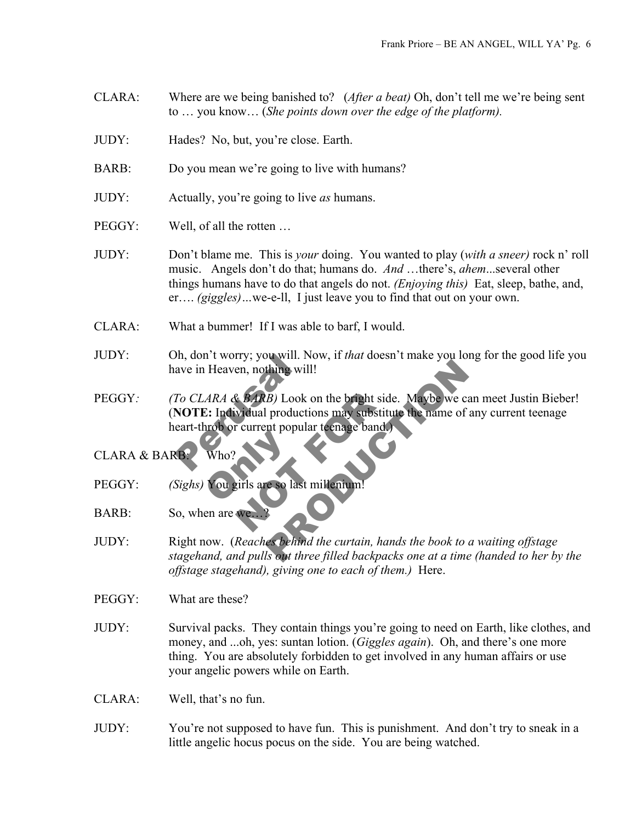- CLARA: Where are we being banished to? (*After a beat)* Oh, don't tell me we're being sent to … you know… (*She points down over the edge of the platform).*
- JUDY: Hades? No, but, you're close. Earth.
- BARB: Do you mean we're going to live with humans?
- JUDY: Actually, you're going to live *as* humans.
- PEGGY: Well, of all the rotten ...
- JUDY: Don't blame me. This is *your* doing. You wanted to play (*with a sneer)* rock n' roll music. Angels don't do that; humans do. *And* …there's, *ahem*...several other things humans have to do that angels do not. *(Enjoying this)* Eat, sleep, bathe, and, er…. *(giggles)…*we-e-ll, I just leave you to find that out on your own.
- CLARA: What a bummer! If I was able to barf, I would.
- JUDY: Oh, don't worry; you will. Now, if *that* doesn't make you long for the good life you have in Heaven, nothing will!
- on, don't worry; you will. No<br>ave in Heaven, nothing will!<br>To CLARA & BARB) Look of<br>NOTE: Individual production<br>eart-throb or current popular<br>Who? Ref. BARB) Look on the bright side.<br>
vidual productions may substitute<br>
r current popular teenage band. Thing will!<br>
B) Look on the bright side. Maybe we can meet.<br>
productions may substitute the name of any curr<br>
nt popular teenage band.<br>
Peso last millenium!<br>
Peso last millenium!<br>
Peso last millenium!<br>
Respectively below t PEGGY*: (To CLARA & BARB)* Look on the bright side. Maybe we can meet Justin Bieber! (**NOTE:** Individual productions may substitute the name of any current teenage heart-throb or current popular teenage band.)
- CLARA & BARB: Who?
- Who?<br>You girls are so last PEGGY: *(Sighs)* You girls are so last millenium!
- BARB: So, when are we
- JUDY: Right now. (*Reaches behind the curtain, hands the book to a waiting offstage stagehand, and pulls out three filled backpacks one at a time (handed to her by the offstage stagehand), giving one to each of them.)* Here.
- PEGGY: What are these?
- JUDY: Survival packs. They contain things you're going to need on Earth, like clothes, and money, and ...oh, yes: suntan lotion. (*Giggles again*). Oh, and there's one more thing. You are absolutely forbidden to get involved in any human affairs or use your angelic powers while on Earth.
- CLARA: Well, that's no fun.
- JUDY: You're not supposed to have fun. This is punishment. And don't try to sneak in a little angelic hocus pocus on the side. You are being watched.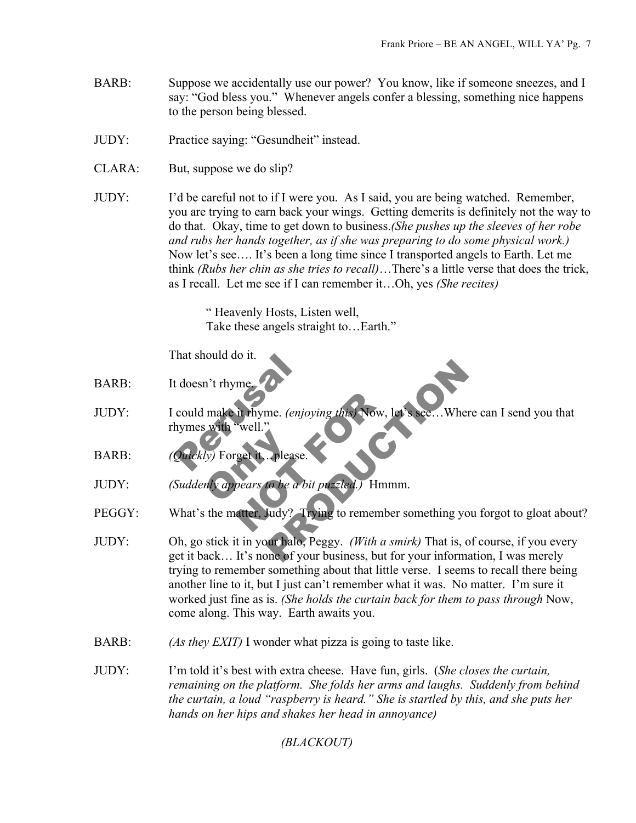- BARB: Suppose we accidentally use our power? You know, like if someone sneezes, and I say: "God bless you." Whenever angels confer a blessing, something nice happens to the person being blessed.
- JUDY: Practice saying: "Gesundheit" instead.
- CLARA: But, suppose we do slip?
- JUDY: I'd be careful not to if I were you. As I said, you are being watched. Remember, you are trying to earn back your wings. Getting demerits is definitely not the way to do that. Okay, time to get down to business.*(She pushes up the sleeves of her robe and rubs her hands together, as if she was preparing to do some physical work.)*  Now let's see…. It's been a long time since I transported angels to Earth. Let me think *(Rubs her chin as she tries to recall)*…There's a little verse that does the trick, as I recall. Let me see if I can remember it…Oh, yes *(She recites)*

" Heavenly Hosts, Listen well, Take these angels straight to…Earth."

That should do it.

- BARB: It doesn't rhyme.
- The Should do It.<br>
Extra doesn't rhyme.<br>
Could make it rhyme. (enjoying with "well."<br>
Quickly) Forget it... please. it rhyme. (enjoying this) Now, let<br>"well."<br>get it. please.<br>hears to be a bit puzzled.) Hmmn<br>atter, Judy? Trying to remember me. (enjoying this) Now, let's see... Where can I s<br>
<br>
Please.<br> **to be a bit puzzled.** Hmmm.<br>
Judy? Trying to remember something you forgot<br>
pur halo, Peggy. (With a smirk) That is, of course<br>
one of your business, but for JUDY: I could make it rhyme. *(enjoying this)* Now, let's see…Where can I send you that rhymes with "well."
- ly) Forget it. please. BARB: *(Quickly)* Forget it…please.

JUDY: *(Suddenly appears to be a bit puzzled.)* Hmmm.

PEGGY: What's the matter, Judy? Trying to remember something you forgot to gloat about?

- JUDY: Oh, go stick it in your halo, Peggy. *(With a smirk)* That is, of course, if you every get it back… It's none of your business, but for your information, I was merely trying to remember something about that little verse. I seems to recall there being another line to it, but I just can't remember what it was. No matter. I'm sure it worked just fine as is. *(She holds the curtain back for them to pass through* Now, come along. This way. Earth awaits you.
- BARB: *(As they EXIT)* I wonder what pizza is going to taste like.
- JUDY: I'm told it's best with extra cheese. Have fun, girls. (*She closes the curtain, remaining on the platform. She folds her arms and laughs. Suddenly from behind the curtain, a loud "raspberry is heard." She is startled by this, and she puts her hands on her hips and shakes her head in annoyance)*

*(BLACKOUT)*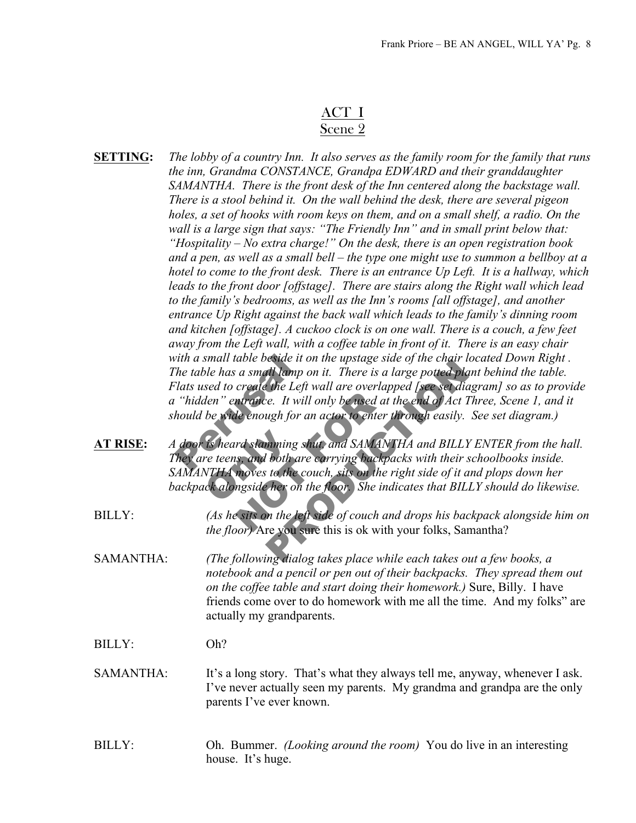## ACT I Scene 2

| <b>SETTING:</b>  | The lobby of a country Inn. It also serves as the family room for the family that runs<br>the inn, Grandma CONSTANCE, Grandpa EDWARD and their granddaughter<br>SAMANTHA. There is the front desk of the Inn centered along the backstage wall.<br>There is a stool behind it. On the wall behind the desk, there are several pigeon<br>holes, a set of hooks with room keys on them, and on a small shelf, a radio. On the<br>wall is a large sign that says: "The Friendly Inn" and in small print below that:<br>"Hospitality – No extra charge!" On the desk, there is an open registration book<br>and a pen, as well as a small bell – the type one might use to summon a bellboy at a<br>hotel to come to the front desk. There is an entrance Up Left. It is a hallway, which<br>leads to the front door [offstage]. There are stairs along the Right wall which lead<br>to the family's bedrooms, as well as the Inn's rooms [all offstage], and another<br>entrance Up Right against the back wall which leads to the family's dinning room<br>and kitchen [offstage]. A cuckoo clock is on one wall. There is a couch, a few feet<br>away from the Left wall, with a coffee table in front of it. There is an easy chair<br>with a small table beside it on the upstage side of the chair located Down Right.<br>The table has a small lamp on it. There is a large potted plant behind the table.<br>Flats used to create the Left wall are overlapped [see set diagram] so as to provide<br>a "hidden" entrance. It will only be used at the end of Act Three, Scene 1, and it<br>should be wide enough for an actor to enter through easily. See set diagram.) |
|------------------|------------------------------------------------------------------------------------------------------------------------------------------------------------------------------------------------------------------------------------------------------------------------------------------------------------------------------------------------------------------------------------------------------------------------------------------------------------------------------------------------------------------------------------------------------------------------------------------------------------------------------------------------------------------------------------------------------------------------------------------------------------------------------------------------------------------------------------------------------------------------------------------------------------------------------------------------------------------------------------------------------------------------------------------------------------------------------------------------------------------------------------------------------------------------------------------------------------------------------------------------------------------------------------------------------------------------------------------------------------------------------------------------------------------------------------------------------------------------------------------------------------------------------------------------------------------------------------------------------------------------------------------------------------------------------|
| <b>AT RISE:</b>  | A door is heard slamming shut, and SAMANTHA and BILLY ENTER from the hall.<br>They are teens, and both are carrying backpacks with their schoolbooks inside.<br>SAMANTHA moves to the couch, sits on the right side of it and plops down her<br>backpack alongside her on the floor. She indicates that BILLY should do likewise.                                                                                                                                                                                                                                                                                                                                                                                                                                                                                                                                                                                                                                                                                                                                                                                                                                                                                                                                                                                                                                                                                                                                                                                                                                                                                                                                            |
| <b>BILLY:</b>    | (As he sits on the left side of couch and drops his backpack alongside him on<br>the floor) Are you sure this is ok with your folks, Samantha?                                                                                                                                                                                                                                                                                                                                                                                                                                                                                                                                                                                                                                                                                                                                                                                                                                                                                                                                                                                                                                                                                                                                                                                                                                                                                                                                                                                                                                                                                                                               |
| SAMANTHA:        | (The following dialog takes place while each takes out a few books, a<br>notebook and a pencil or pen out of their backpacks. They spread them out<br>on the coffee table and start doing their homework.) Sure, Billy. I have<br>friends come over to do homework with me all the time. And my folks" are<br>actually my grandparents.                                                                                                                                                                                                                                                                                                                                                                                                                                                                                                                                                                                                                                                                                                                                                                                                                                                                                                                                                                                                                                                                                                                                                                                                                                                                                                                                      |
| <b>BILLY:</b>    | Oh?                                                                                                                                                                                                                                                                                                                                                                                                                                                                                                                                                                                                                                                                                                                                                                                                                                                                                                                                                                                                                                                                                                                                                                                                                                                                                                                                                                                                                                                                                                                                                                                                                                                                          |
| <b>SAMANTHA:</b> | It's a long story. That's what they always tell me, anyway, whenever I ask.<br>I've never actually seen my parents. My grandma and grandpa are the only<br>parents I've ever known.                                                                                                                                                                                                                                                                                                                                                                                                                                                                                                                                                                                                                                                                                                                                                                                                                                                                                                                                                                                                                                                                                                                                                                                                                                                                                                                                                                                                                                                                                          |
| <b>BILLY:</b>    | Oh. Bummer. <i>(Looking around the room)</i> You do live in an interesting<br>house. It's huge.                                                                                                                                                                                                                                                                                                                                                                                                                                                                                                                                                                                                                                                                                                                                                                                                                                                                                                                                                                                                                                                                                                                                                                                                                                                                                                                                                                                                                                                                                                                                                                              |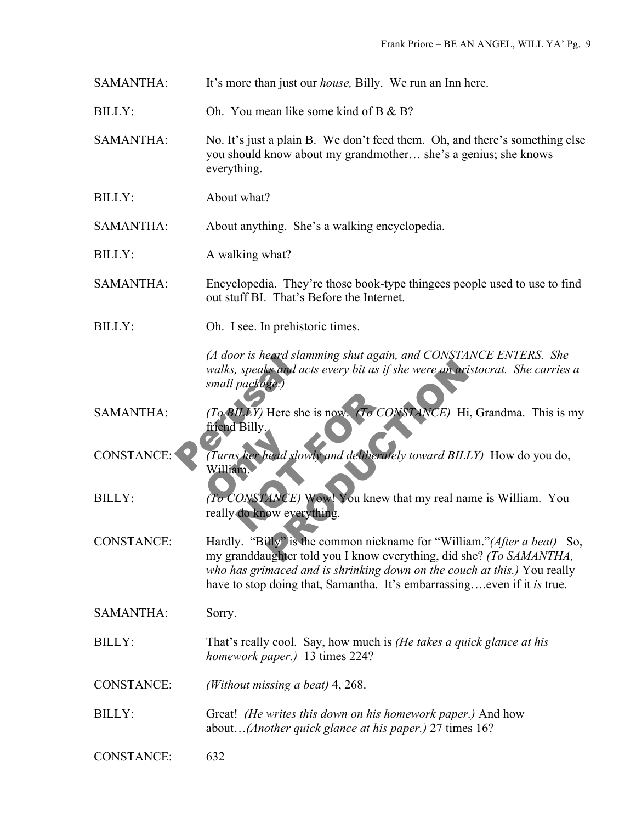SAMANTHA: It's more than just our *house,* Billy. We run an Inn here.

 $BILLY:$  Oh You mean like some kind of B & B?

SAMANTHA: No. It's just a plain B. We don't feed them. Oh, and there's something else you should know about my grandmother… she's a genius; she knows everything.

BILLY: About what?

SAMANTHA: About anything. She's a walking encyclopedia.

BILLY: A walking what?

SAMANTHA: Encyclopedia. They're those book-type thingees people used to use to find out stuff BI. That's Before the Internet.

BILLY: Oh. I see. In prehistoric times.

Example acts every bit as if she were an aristocrat.<br>
Here she is now. (To CONSTANCE) Hi, Grandr<br>
Here she is now. (To CONSTANCE) Hi, Grandr<br>
Here she is now. (To CONSTANCE) Hi, Grandr<br>
Here she is now. (To CONSTANCE) Hi, *(A door is heard slamming shut again, and CONSTANCE ENTERS. She walks, speaks and acts every bit as if she were an aristocrat. She carries a small package.)*

(*A door is heard siamn*)<br>walks, speaks and acts<br>small package.)<br>(*To BILLY*) Here she is<br>friend Billy.<br>(*Turns her head slowly*) ILLY) Here she is now. (To CON<br>Billy.<br>s her head slowly and deliberately<br>MONSTANCE) Wow! You knew the do know everything. SAMANTHA: *(To BILLY)* Here she is now. *(To CONSTANCE)* Hi, Grandma. This is my friend Billy.

Turns her head slow<br>William<br>To CONSTANCE) CONSTANCE: *(Turns her head slowly and deliberately toward BILLY)* How do you do, William.

BILLY: *(To CONSTANCE)* Wow! You knew that my real name is William. You really do know everything.

CONSTANCE: Hardly. "Billy" is the common nickname for "William."*(After a beat)* So, my granddaughter told you I know everything, did she? *(To SAMANTHA, who has grimaced and is shrinking down on the couch at this.)* You really have to stop doing that, Samantha. It's embarrassing….even if it *is* true.

SAMANTHA: Sorry.

BILLY: That's really cool. Say, how much is *(He takes a quick glance at his homework paper.)* 13 times 224?

- CONSTANCE: *(Without missing a beat)* 4, 268.
- BILLY: Great! *(He writes this down on his homework paper.)* And how about…*(Another quick glance at his paper.)* 27 times 16?
- CONSTANCE: 632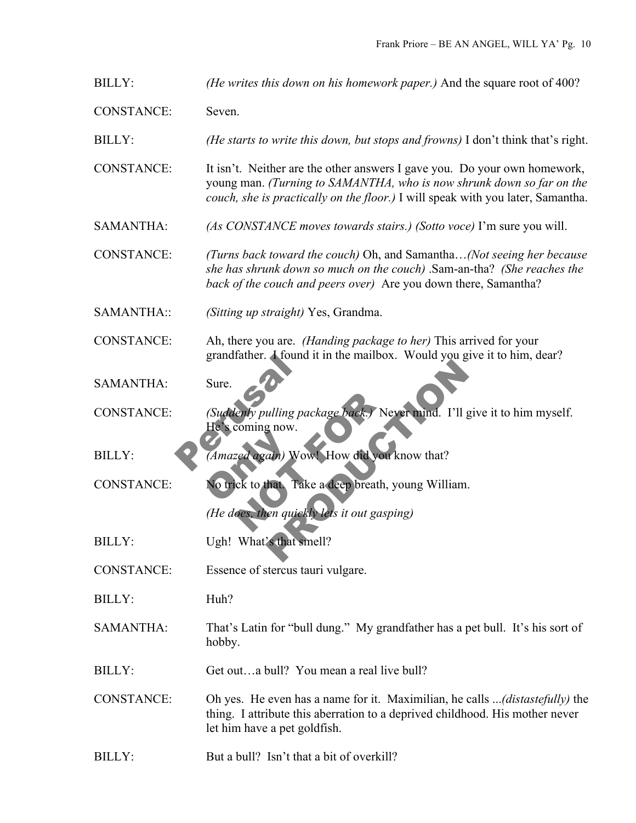BILLY: *(He writes this down on his homework paper.)* And the square root of 400?

CONSTANCE: Seven.

BILLY: *(He starts to write this down, but stops and frowns)* I don't think that's right.

CONSTANCE: It isn't. Neither are the other answers I gave you. Do your own homework, young man. *(Turning to SAMANTHA, who is now shrunk down so far on the couch, she is practically on the floor.)* I will speak with you later, Samantha.

SAMANTHA: *(As CONSTANCE moves towards stairs.) (Sotto voce)* I'm sure you will.

CONSTANCE: *(Turns back toward the couch)* Oh, and Samantha…*(Not seeing her because she has shrunk down so much on the couch)* .Sam-an-tha? *(She reaches the back of the couch and peers over)* Are you down there, Samantha?

SAMANTHA:: *(Sitting up straight)* Yes, Grandma.

CONSTANCE: Ah, there you are. *(Handing package to her)* This arrived for your grandfather. I found it in the mailbox. Would you give it to him, dear?

SAMANTHA: Sure.

Sure.<br>
Sure.<br>
(Suddenly pulling pack<br>
He's coming now.<br>
(Amazed again) Wowl enly pulling package back.) Never<br>coming now.<br>Entry Nowl How did you known to the Take a deep breath, you We are a deep breath, we had a little state of the state of the state of the state of the state of the state of the state of the state of the state of the state of the state of the state of the state of the state of the st CONSTANCE: *(Suddenly pulling package back.)* Never mind. I'll give it to him myself. He's coming now.

(Amazed again) Wo<br>No trick to that Tal BILLY: *(Amazed again)* Wow! How did you know that?

CONSTANCE: No trick to that. Take a deep breath, young William.

*(He does, then quickly lets it out gasping)*

BILLY: Ugh! What's that smell?

CONSTANCE: Essence of stercus tauri vulgare.

BILLY: Huh?

SAMANTHA: That's Latin for "bull dung." My grandfather has a pet bull. It's his sort of hobby.

BILLY: Get out...a bull? You mean a real live bull?

CONSTANCE: Oh yes. He even has a name for it. Maximilian, he calls ...*(distastefully)* the thing. I attribute this aberration to a deprived childhood. His mother never let him have a pet goldfish.

 $BILLY$  But a bull? Isn't that a bit of overkill?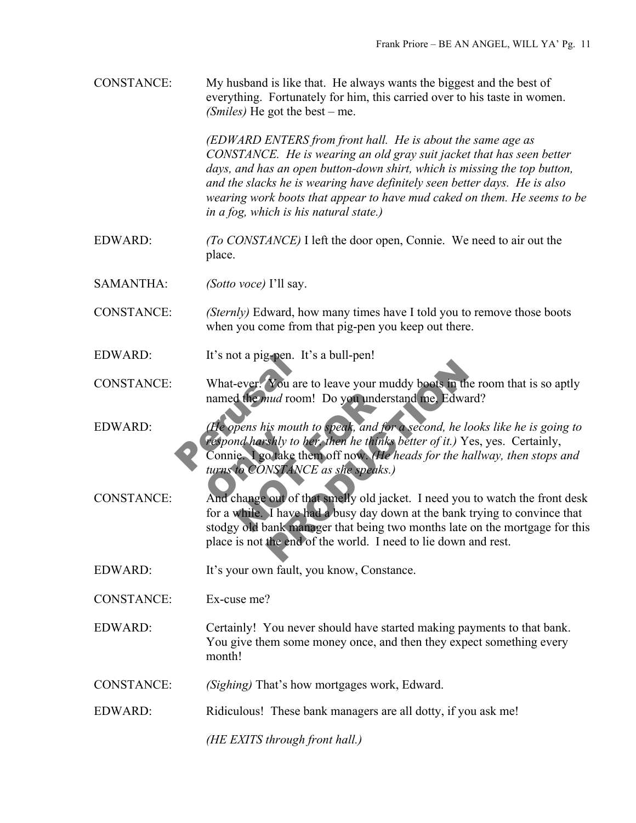| <b>CONSTANCE:</b> | My husband is like that. He always wants the biggest and the best of<br>everything. Fortunately for him, this carried over to his taste in women.<br>( <i>Smiles</i> ) He got the best – me.                                                                                                                                                                                                                         |
|-------------------|----------------------------------------------------------------------------------------------------------------------------------------------------------------------------------------------------------------------------------------------------------------------------------------------------------------------------------------------------------------------------------------------------------------------|
|                   | (EDWARD ENTERS from front hall. He is about the same age as<br>CONSTANCE. He is wearing an old gray suit jacket that has seen better<br>days, and has an open button-down shirt, which is missing the top button,<br>and the slacks he is wearing have definitely seen better days. He is also<br>wearing work boots that appear to have mud caked on them. He seems to be<br>in a fog, which is his natural state.) |
| <b>EDWARD:</b>    | (To CONSTANCE) I left the door open, Connie. We need to air out the<br>place.                                                                                                                                                                                                                                                                                                                                        |
| <b>SAMANTHA:</b>  | <i>(Sotto voce)</i> I'll say.                                                                                                                                                                                                                                                                                                                                                                                        |
| <b>CONSTANCE:</b> | (Sternly) Edward, how many times have I told you to remove those boots<br>when you come from that pig-pen you keep out there.                                                                                                                                                                                                                                                                                        |
| <b>EDWARD:</b>    | It's not a pig-pen. It's a bull-pen!                                                                                                                                                                                                                                                                                                                                                                                 |
| <b>CONSTANCE:</b> | What-ever. You are to leave your muddy boots in the room that is so aptly<br>named the <i>mud</i> room! Do you understand me, Edward?                                                                                                                                                                                                                                                                                |
| <b>EDWARD:</b>    | (He opens his mouth to speak, and for a second, he looks like he is going to<br>respond harshly to her, then he thinks better of it.) Yes, yes. Certainly,<br>Connie. I go take them off now. (He heads for the hallway, then stops and<br>turns to CONSTANCE as she speaks.)                                                                                                                                        |
| <b>CONSTANCE:</b> | And change out of that smelly old jacket. I need you to watch the front desk<br>for a while. I have had a busy day down at the bank trying to convince that<br>stodgy old bank manager that being two months late on the mortgage for this<br>place is not the end of the world. I need to lie down and rest.                                                                                                        |
| <b>EDWARD:</b>    | It's your own fault, you know, Constance.                                                                                                                                                                                                                                                                                                                                                                            |
| <b>CONSTANCE:</b> | Ex-cuse me?                                                                                                                                                                                                                                                                                                                                                                                                          |
| <b>EDWARD:</b>    | Certainly! You never should have started making payments to that bank.<br>You give them some money once, and then they expect something every<br>month!                                                                                                                                                                                                                                                              |
| <b>CONSTANCE:</b> | (Sighing) That's how mortgages work, Edward.                                                                                                                                                                                                                                                                                                                                                                         |
| <b>EDWARD:</b>    | Ridiculous! These bank managers are all dotty, if you ask me!                                                                                                                                                                                                                                                                                                                                                        |
|                   | (HE EXITS through front hall.)                                                                                                                                                                                                                                                                                                                                                                                       |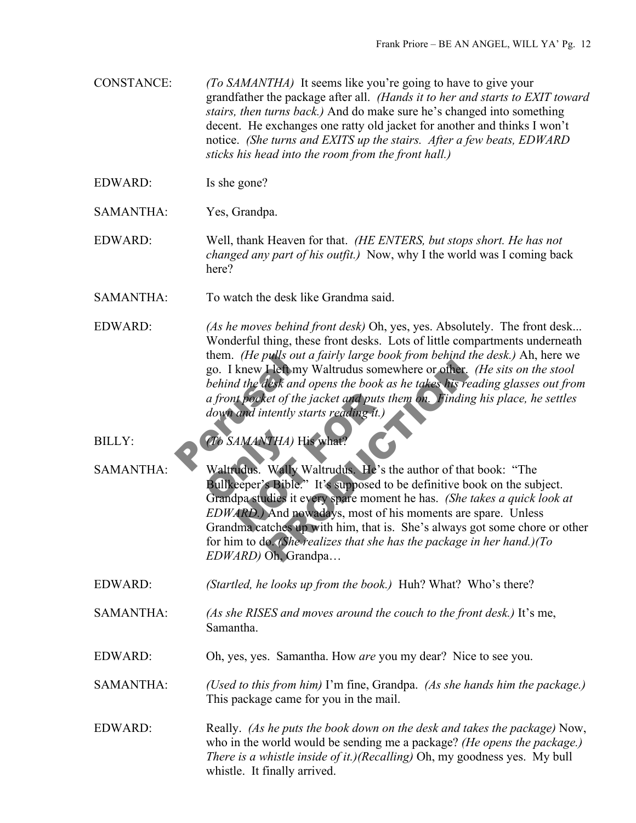CONSTANCE: *(To SAMANTHA)* It seems like you're going to have to give your grandfather the package after all. *(Hands it to her and starts to EXIT toward stairs, then turns back.)* And do make sure he's changed into something decent. He exchanges one ratty old jacket for another and thinks I won't notice. *(She turns and EXITS up the stairs. After a few beats, EDWARD sticks his head into the room from the front hall.)*

- EDWARD: Is she gone?
- SAMANTHA: Yes, Grandpa.

EDWARD: Well, thank Heaven for that. *(HE ENTERS, but stops short. He has not changed any part of his outfit.)* Now, why I the world was I coming back here?

SAMANTHA: To watch the desk like Grandma said.

them. (*He pulls out a*<sub>3</sub><br>go. I knew Heft my W<br>behind the desk and op<br>a front pocket of the ja<br>down and intently star<br>(*To SAMANTHA*) His EDWARD: *(As he moves behind front desk)* Oh, yes, yes. Absolutely. The front desk... Wonderful thing, these front desks. Lots of little compartments underneath them. *(He pulls out a fairly large book from behind the desk.)* Ah, here we go. I knew I left my Waltrudus somewhere or other. *(He sits on the stool behind the desk and opens the book as he takes his reading glasses out from a front pocket of the jacket and puts them on. Finding his place, he settles down and intently starts reading it.)*

BILLY:<br>
SAMANTHA: *(To SAMANTHA)* His what?<br> **Waltrudus.** Wally Waltrudu<br>
Bullkeeper's Bible.'' It's sure Grandpa studies it every spa If pocket of the jacket and puts the<br>
and intently starts reading it.)<br>
AMANTHA) His what?<br>
Udus. Wally Waltrudus. He's the<br>
eeper's Bible.'' It's supposed to b<br>
Ipa studies it every spare moment<br>
ARD.) And nowadays, most Fleft my Waltrudus somewhere or other. (He sits<br>lesk and opens the book as he takes his reading g<br>set of the jacket and puts them on. Finding his platently starts reading it.)<br>tently starts reading it.)<br>Wally Waltrudus. He SAMANTHA: Waltrudus. Wally Waltrudus. He's the author of that book: "The Bullkeeper's Bible." It's supposed to be definitive book on the subject. Grandpa studies it every spare moment he has. *(She takes a quick look at EDWARD.)* And nowadays, most of his moments are spare. Unless Grandma catches up with him, that is. She's always got some chore or other for him to do. *(She realizes that she has the package in her hand.)(To EDWARD)* Oh, Grandpa…

EDWARD: *(Startled, he looks up from the book.)* Huh? What? Who's there?

- SAMANTHA: *(As she RISES and moves around the couch to the front desk.)* It's me, Samantha.
- EDWARD: Oh, yes, yes. Samantha. How *are* you my dear? Nice to see you.

SAMANTHA: *(Used to this from him)* I'm fine, Grandpa. *(As she hands him the package.)* This package came for you in the mail.

EDWARD: Really. *(As he puts the book down on the desk and takes the package)* Now, who in the world would be sending me a package? *(He opens the package.) There is a whistle inside of it.)(Recalling)* Oh, my goodness yes. My bull whistle. It finally arrived.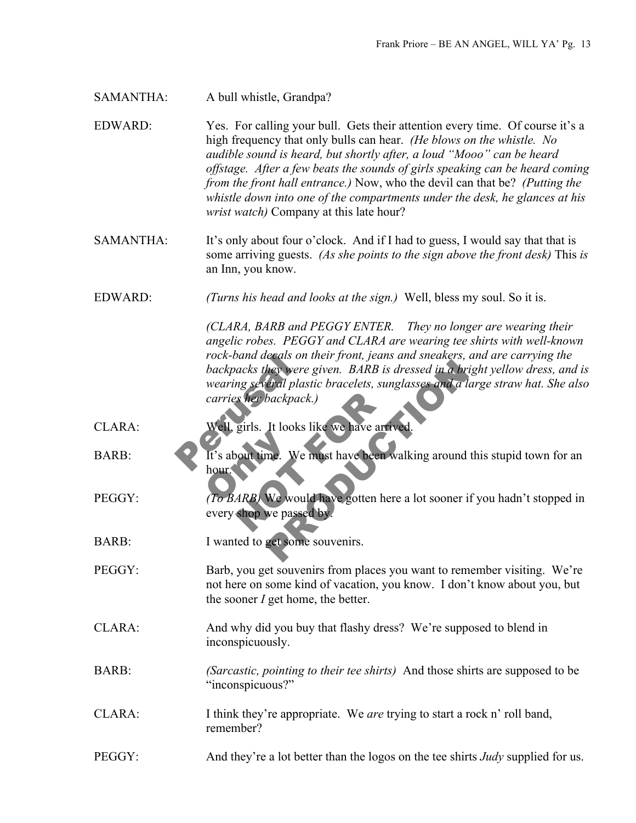SAMANTHA: A bull whistle, Grandpa?

EDWARD: Yes. For calling your bull. Gets their attention every time. Of course it's a high frequency that only bulls can hear. *(He blows on the whistle. No audible sound is heard, but shortly after, a loud "Mooo" can be heard offstage. After a few beats the sounds of girls speaking can be heard coming from the front hall entrance.)* Now, who the devil can that be? *(Putting the whistle down into one of the compartments under the desk, he glances at his wrist watch)* Company at this late hour?

SAMANTHA: It's only about four o'clock. And if I had to guess, I would say that that is some arriving guests. *(As she points to the sign above the front desk)* This *is* an Inn, you know.

EDWARD: *(Turns his head and looks at the sign.)* Well, bless my soul. So it is.

rock-band decals on the<br>backpacks they were g<br>wearing several plastic<br>carries her backpack.)<br>Well, girls. It looks like They were given. BARB is dressed in a bright yell<br>they were given. BARB is dressed in a bright yell<br>teral plastic bracelets, sunglasses and a large stre<br>backpack.)<br>The books like we have arrived.<br>The would have gotten here *(CLARA, BARB and PEGGY ENTER. They no longer are wearing their angelic robes. PEGGY and CLARA are wearing tee shirts with well-known rock-band decals on their front, jeans and sneakers, and are carrying the backpacks they were given. BARB is dressed in a bright yellow dress, and is wearing several plastic bracelets, sunglasses and a large straw hat. She also carries her backpack.)*

CLARA: Well, girls. It looks like we have arrived

It's about time. We<br>hour. We hour Scher backpack.)<br>
Sirls. It looks like we have arrive<br>
Nout time. We must have been was<br>
ARB) We would have gotten here<br>
shop we passed by BARB: It's about time. We must have been walking around this stupid town for an hour.

- PEGGY: *(To BARB)* We would have gotten here a lot sooner if you hadn't stopped in every shop we passed by.
- BARB: I wanted to get some souvenirs.
- PEGGY: Barb, you get souvenirs from places you want to remember visiting. We're not here on some kind of vacation, you know. I don't know about you, but the sooner *I* get home, the better.
- CLARA: And why did you buy that flashy dress? We're supposed to blend in inconspicuously.
- BARB: *(Sarcastic, pointing to their tee shirts)* And those shirts are supposed to be "inconspicuous?"
- CLARA: I think they're appropriate. We *are* trying to start a rock n' roll band, remember?
- PEGGY: And they're a lot better than the logos on the tee shirts *Judy* supplied for us.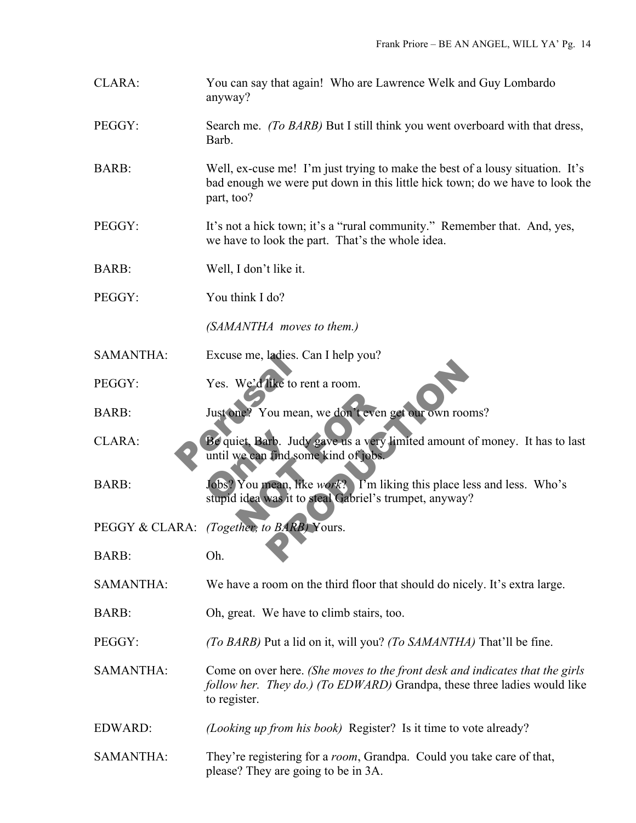- CLARA: You can say that again! Who are Lawrence Welk and Guy Lombardo anyway?
- PEGGY: Search me. *(To BARB)* But I still think you went overboard with that dress, Barb.
- BARB: Well, ex-cuse me! I'm just trying to make the best of a lousy situation. It's bad enough we were put down in this little hick town; do we have to look the part, too?
- PEGGY: It's not a hick town; it's a "rural community." Remember that. And, yes, we have to look the part. That's the whole idea.
- BARB: Well, I don't like it.
- PEGGY: You think I do?
	- *(SAMANTHA moves to them.)*
- SAMANTHA: Excuse me, ladies. Can I help you?
- PEGGY: Yes. We'd like to rent a room.
- BARB: Just one? You mean, we don't even get our own rooms?
- Excuse me, ladies. Car<br>
Yes. We'd like to rent<br>
Just one? You mean, v<br>
Be quiet. Barb. Judy g<br>
until we can find some Be quiet, Barb. Judy<br>until we can find son<br>Jobs? You mean, lik<br>stupid idea was it to ne? You mean, we don't even ge<br>iet. Barb. Judy gave us a very lin<br>we can find some kind of jobs.<br>You mean, like *work*? I'm likin<br>lidea was it to steal Gabriel's trur<br>ther, to BARB, Yours. The to rent a room.<br>
Sources the tore of the set of the town rooms?<br>
The same state of the set of the set of the set of the set of the set of the set of the set of the set of the set of the set of the set of the set of the CLARA: Be quiet, Barb. Judy gave us a very limited amount of money. It has to last until we can find some kind of jobs.
- BARB: Jobs? You mean, like *work*? I'm liking this place less and less. Who's stupid idea was it to steal Gabriel's trumpet, anyway?
- PEGGY & CLARA: *(Together, to BARB)* Yours.
- BARB: Oh.
- SAMANTHA: We have a room on the third floor that should do nicely. It's extra large.
- BARB: Oh, great. We have to climb stairs, too.
- PEGGY: *(To BARB)* Put a lid on it, will you? *(To SAMANTHA)* That'll be fine.
- SAMANTHA: Come on over here. *(She moves to the front desk and indicates that the girls follow her. They do.) (To EDWARD)* Grandpa, these three ladies would like to register.
- EDWARD: *(Looking up from his book)* Register? Is it time to vote already?
- SAMANTHA: They're registering for a *room*, Grandpa. Could you take care of that, please? They are going to be in 3A.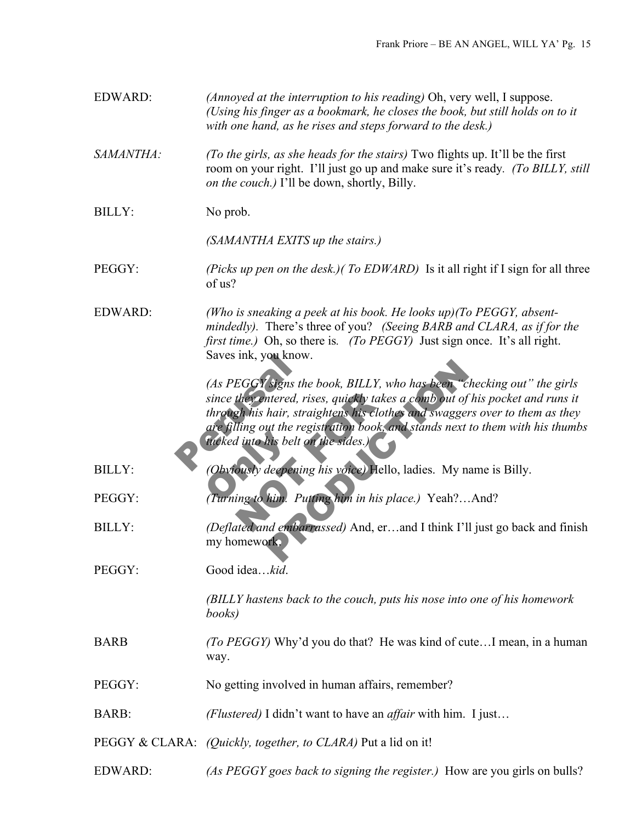| <b>EDWARD:</b> | (Annoyed at the interruption to his reading) Oh, very well, I suppose.<br>(Using his finger as a bookmark, he closes the book, but still holds on to it<br>with one hand, as he rises and steps forward to the desk.)                                                                                                                                           |
|----------------|-----------------------------------------------------------------------------------------------------------------------------------------------------------------------------------------------------------------------------------------------------------------------------------------------------------------------------------------------------------------|
| SAMANTHA:      | (To the girls, as she heads for the stairs) Two flights up. It'll be the first<br>room on your right. I'll just go up and make sure it's ready. (To BILLY, still<br>on the couch.) I'll be down, shortly, Billy.                                                                                                                                                |
| <b>BILLY:</b>  | No prob.                                                                                                                                                                                                                                                                                                                                                        |
|                | (SAMANTHA EXITS up the stairs.)                                                                                                                                                                                                                                                                                                                                 |
| PEGGY:         | (Picks up pen on the desk.) (To EDWARD) Is it all right if I sign for all three<br>of us?                                                                                                                                                                                                                                                                       |
| <b>EDWARD:</b> | (Who is sneaking a peek at his book. He looks $up$ )(To PEGGY, absent-<br>mindedly). There's three of you? (Seeing BARB and CLARA, as if for the<br><i>first time.</i> ) Oh, so there is. <i>(To PEGGY)</i> Just sign once. It's all right.<br>Saves ink, you know.                                                                                             |
|                | (As PEGGY signs the book, BILLY, who has been "checking out" the girls<br>since they entered, rises, quickly takes a comb out of his pocket and runs it<br>through his hair, straightens his clothes and swaggers over to them as they<br>are filling out the registration book, and stands next to them with his thumbs<br>fucked into his belt on the sides.) |
| <b>BILLY:</b>  | (Obviously deepening his voice) Hello, ladies. My name is Billy.                                                                                                                                                                                                                                                                                                |
| PEGGY:         | (Turning to him. Putting him in his place.) Yeah?And?                                                                                                                                                                                                                                                                                                           |
| <b>BILLY:</b>  | (Deflated and embarrassed) And, erand I think I'll just go back and finish<br>my homework.                                                                                                                                                                                                                                                                      |
| PEGGY:         | Good ideakid.                                                                                                                                                                                                                                                                                                                                                   |
|                | (BILLY hastens back to the couch, puts his nose into one of his homework<br>books)                                                                                                                                                                                                                                                                              |
| <b>BARB</b>    | <i>(To PEGGY)</i> Why'd you do that? He was kind of cuteI mean, in a human<br>way.                                                                                                                                                                                                                                                                              |
| PEGGY:         | No getting involved in human affairs, remember?                                                                                                                                                                                                                                                                                                                 |
| <b>BARB:</b>   | (Flustered) I didn't want to have an <i>affair</i> with him. I just                                                                                                                                                                                                                                                                                             |
|                | PEGGY & CLARA: (Quickly, together, to CLARA) Put a lid on it!                                                                                                                                                                                                                                                                                                   |
| EDWARD:        | (As PEGGY goes back to signing the register.) How are you girls on bulls?                                                                                                                                                                                                                                                                                       |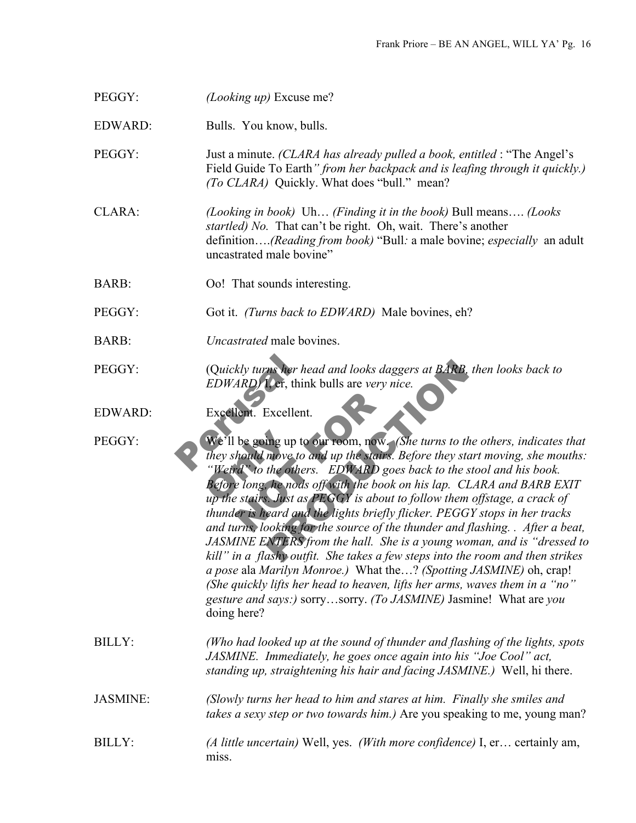PEGGY: *(Looking up)* Excuse me?

EDWARD: Bulls. You know, bulls.

PEGGY: Just a minute. *(CLARA has already pulled a book, entitled* : "The Angel's Field Guide To Earth*" from her backpack and is leafing through it quickly.) (To CLARA)* Quickly. What does "bull." mean?

CLARA: *(Looking in book)* Uh… *(Finding it in the book)* Bull means…. *(Looks startled) No.* That can't be right. Oh, wait. There's another definition….*(Reading from book)* "Bull*:* a male bovine; *especially* an adult uncastrated male bovine"

- BARB: Oo! That sounds interesting.
- PEGGY: Got it. *(Turns back to EDWARD)* Male bovines, eh?
- BARB: *Uncastrated* male bovines.
- PEGGY: (Q*uickly turns her head and looks daggers at BARB, then looks back to EDWARD)* I, er, think bulls are *very nice.*
- EDWARD: Excellent. Excellent.

(Quickly turns her hea<br>EDWARD) 1, ef, think<br>Excellent. Excellent.<br>We'll be going up to of<br>they should move to an<br>"Weird" to the others We'll be going up to<br>they should move to<br>"Weird" to the other<br>Before long, he nods<br>up the stairs. Just as lent. Excellent.<br>
be going up to our room, now.<br>
hould move to and up the stairs. If<br>
d<sup>2</sup> to the others. EDWARD goes<br>
e long, he nods off with the book c<br>
e stairs. Just as PEGGY is about the ris heard and the lights brie The same of the same of the same of the same of the same of the same of the same of the same of the same of the same of the same of the same of the same of the same of the same of the same of the same of the same of the sa PEGGY: We'll be going up to our room, now. *(She turns to the others, indicates that they should move to and up the stairs. Before they start moving, she mouths: "Weird" to the others. EDWARD goes back to the stool and his book. Before long, he nods off with the book on his lap. CLARA and BARB EXIT up the stairs. Just as PEGGY is about to follow them offstage, a crack of thunder is heard and the lights briefly flicker. PEGGY stops in her tracks and turns, looking for the source of the thunder and flashing. . After a beat, JASMINE ENTERS from the hall. She is a young woman, and is "dressed to kill" in a flashy outfit. She takes a few steps into the room and then strikes a pose* ala *Marilyn Monroe.)* What the…? *(Spotting JASMINE)* oh, crap! *(She quickly lifts her head to heaven, lifts her arms, waves them in a "no" gesture and says:)* sorry…sorry. *(To JASMINE)* Jasmine! What are *you*  doing here?

BILLY: *(Who had looked up at the sound of thunder and flashing of the lights, spots JASMINE. Immediately, he goes once again into his "Joe Cool" act, standing up, straightening his hair and facing JASMINE.)* Well, hi there.

- JASMINE: *(Slowly turns her head to him and stares at him. Finally she smiles and takes a sexy step or two towards him.)* Are you speaking to me, young man?
- BILLY: *(A little uncertain)* Well, yes. *(With more confidence)* I, er… certainly am, miss.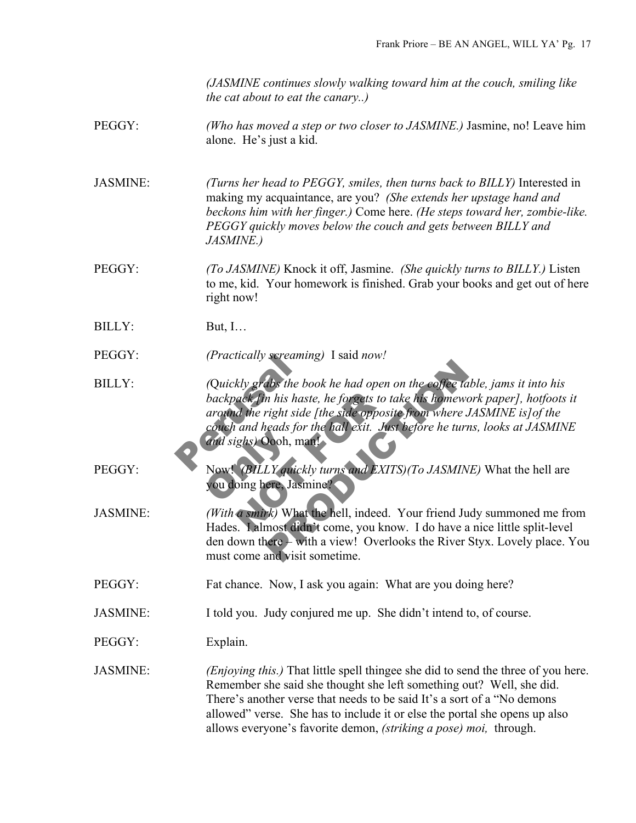*(JASMINE continues slowly walking toward him at the couch, smiling like the cat about to eat the canary..)*

## PEGGY: *(Who has moved a step or two closer to JASMINE.)* Jasmine, no! Leave him alone. He's just a kid.

JASMINE: *(Turns her head to PEGGY, smiles, then turns back to BILLY)* Interested in making my acquaintance, are you? *(She extends her upstage hand and beckons him with her finger.)* Come here. *(He steps toward her, zombie-like. PEGGY quickly moves below the couch and gets between BILLY and JASMINE.)* 

- PEGGY: *(To JASMINE)* Knock it off, Jasmine. *(She quickly turns to BILLY.)* Listen to me, kid. Your homework is finished. Grab your books and get out of here right now!
- BILLY: But, I…

PEGGY: *(Practically screaming)* I said *now!*

- (Practically screaming)<br>
(Quickly grabs the boc<br>
backpack fin his haste<br>
around the right side |<br>
couch and heads for the<br>
and sighs) Oooh, many<br>
Now! (BH I Y mickly ack fin his haste, he forgets to take<br>d the right side [the side opposite<br>and heads for the hall exit. Just<br>ghs) Oooh, man!<br>(BILLY quickly turns and EXITS<br>bing here, Jasmine?<br>a smirk) What the hell, indeed. You know The book he had open on the coffee table, jam.<br>
In his haste, he forgets to take his homework pape<br>
right side [the side opposite from where JASMIN]<br>
reads for the hall exit. Just before he turns, looks<br>
Dooh, man!<br>
LY qui BILLY: *(*Q*uickly grabs the book he had open on the coffee table, jams it into his backpack [in his haste, he forgets to take his homework paper], hotfoots it around the right side [the side opposite from where JASMINE is]of the couch and heads for the hall exit. Just before he turns, looks at JASMINE and sighs)* Oooh, man!
- and sighs) Oooh, ma<br>Now! (BILLY quick<br>you doing here, Jasn PEGGY: Now! *(BILLY quickly turns and EXITS)(To JASMINE)* What the hell are you doing here, Jasmine?
- JASMINE: *(With a smirk)* What the hell, indeed. Your friend Judy summoned me from Hades. I almost didn't come, you know. I do have a nice little split-level den down there – with a view! Overlooks the River Styx. Lovely place. You must come and visit sometime.
- PEGGY: Fat chance. Now, I ask you again: What are you doing here?
- JASMINE: I told you. Judy conjured me up. She didn't intend to, of course.

PEGGY: Explain.

JASMINE: *(Enjoying this.)* That little spell thingee she did to send the three of you here. Remember she said she thought she left something out? Well, she did. There's another verse that needs to be said It's a sort of a "No demons allowed" verse. She has to include it or else the portal she opens up also allows everyone's favorite demon, *(striking a pose) moi,* through.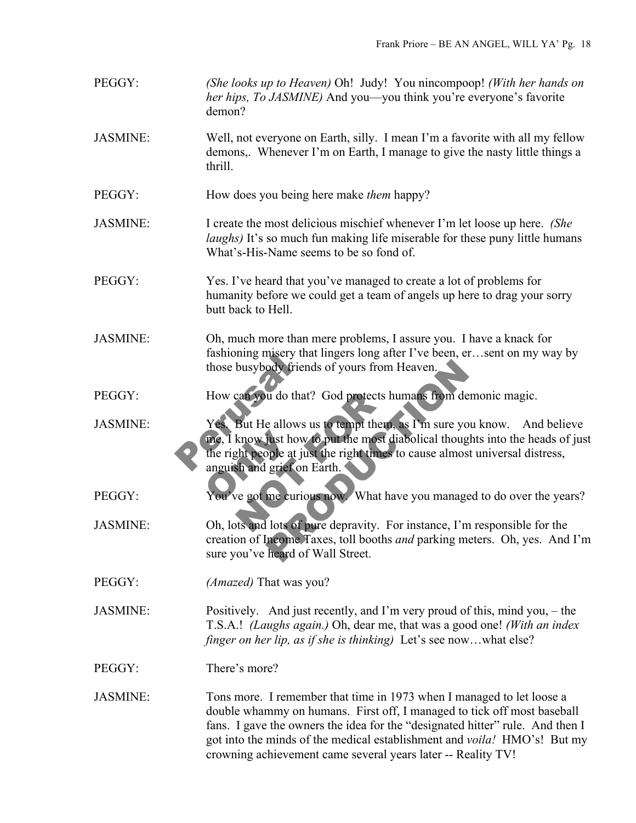- PEGGY: *(She looks up to Heaven)* Oh! Judy! You nincompoop! *(With her hands on her hips, To JASMINE)* And you—you think you're everyone's favorite demon?
- JASMINE: Well, not everyone on Earth, silly. I mean I'm a favorite with all my fellow demons,. Whenever I'm on Earth, I manage to give the nasty little things a thrill.
- PEGGY: How does you being here make *them* happy?
- JASMINE: I create the most delicious mischief whenever I'm let loose up here. *(She laughs*) It's so much fun making life miserable for these puny little humans What's-His-Name seems to be so fond of.
- PEGGY: Yes. I've heard that you've managed to create a lot of problems for humanity before we could get a team of angels up here to drag your sorry butt back to Hell.
- JASMINE: Oh, much more than mere problems, I assure you. I have a knack for fashioning misery that lingers long after I've been, er…sent on my way by those busybody friends of yours from Heaven.
- PEGGY: How can you do that? God protects humans from demonic magic.
- Framework and those busybody friends<br>
How can you do that?<br>
Yes. But He allows us<br>
The right people at just<br>
the right people at just<br>
anguish and grief on E me, I know just how to put the most diabolical thoughts into the heads of just<br>the right people at just the right times to cause almost universal distress,<br>anguish and grief on Earth.<br>You've got me curious now What have yo can you do that? God protects humbers<br>But He allows us to tempt them, a<br>know just how to put the most dia<br>ght people at just the right times to<br>sh and grief on Earth.<br>ye got me curious now. What have Triends of yours from Heaven.<br>
2013 to that? God protects humans from demonic m<br>
e allows us to tempt them, as I'm sure you know.<br>
just how to put the most diabolical thoughts into<br>
pple at just the right times to cause al JASMINE: Yes. But He allows us to tempt them, as I'm sure you know. And believe the right people at just the right times to cause almost universal distress, anguish and grief on Earth.
- PEGGY: You've got me curious now. What have you managed to do over the years?
- JASMINE: Oh, lots and lots of pure depravity. For instance, I'm responsible for the creation of Income Taxes, toll booths *and* parking meters. Oh, yes. And I'm sure you've heard of Wall Street.
- PEGGY: *(Amazed)* That was you?
- JASMINE: Positively. And just recently, and I'm very proud of this, mind you, the T.S.A.! *(Laughs again.)* Oh, dear me, that was a good one! *(With an index finger on her lip, as if she is thinking*) Let's see now...what else?
- PEGGY: There's more?
- JASMINE: Tons more. I remember that time in 1973 when I managed to let loose a double whammy on humans. First off, I managed to tick off most baseball fans. I gave the owners the idea for the "designated hitter" rule. And then I got into the minds of the medical establishment and *voila!* HMO's! But my crowning achievement came several years later -- Reality TV!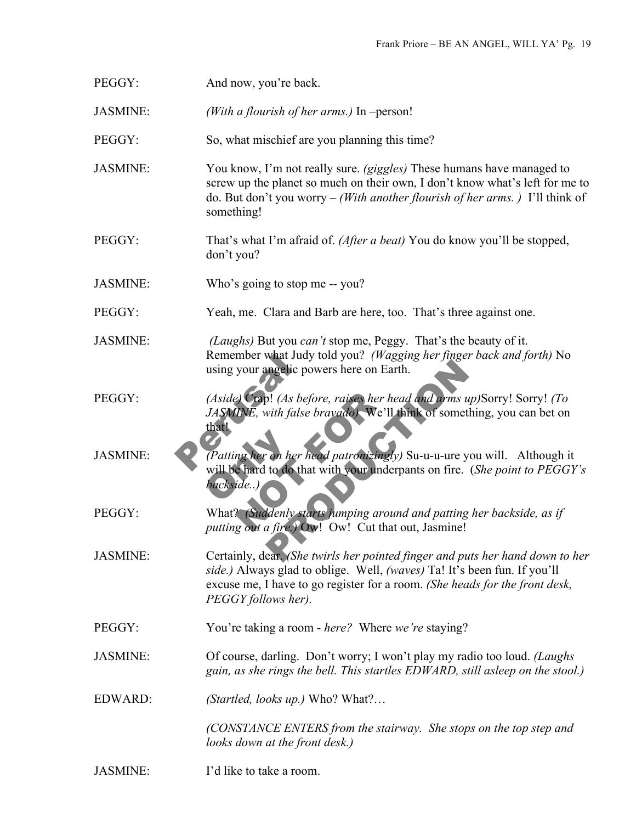| PEGGY:          | And now, you're back.                                                                                                                                                                                                                                           |
|-----------------|-----------------------------------------------------------------------------------------------------------------------------------------------------------------------------------------------------------------------------------------------------------------|
| <b>JASMINE:</b> | (With a flourish of her arms.) In $-person!$                                                                                                                                                                                                                    |
| PEGGY:          | So, what mischief are you planning this time?                                                                                                                                                                                                                   |
| JASMINE:        | You know, I'm not really sure. (giggles) These humans have managed to<br>screw up the planet so much on their own, I don't know what's left for me to<br>do. But don't you worry – (With another flourish of her arms.) I'll think of<br>something!             |
| PEGGY:          | That's what I'm afraid of. (After a beat) You do know you'll be stopped,<br>don't you?                                                                                                                                                                          |
| <b>JASMINE:</b> | Who's going to stop me -- you?                                                                                                                                                                                                                                  |
| PEGGY:          | Yeah, me. Clara and Barb are here, too. That's three against one.                                                                                                                                                                                               |
| <b>JASMINE:</b> | (Laughs) But you can't stop me, Peggy. That's the beauty of it.<br>Remember what Judy told you? (Wagging her finger back and forth) No<br>using your angelic powers here on Earth.                                                                              |
| PEGGY:          | (Aside) Crap! (As before, raises her head and arms up)Sorry! Sorry! (To<br>JASMINE, with false bravado). We'll think of something, you can bet on<br>that!                                                                                                      |
| <b>JASMINE:</b> | Patting her on her head patronizingly) Su-u-u-ure you will. Although it<br>will be hard to do that with your underpants on fire. (She point to PEGGY's<br>backside)                                                                                             |
| PEGGY:          | What? (Suddenly starts jumping around and patting her backside, as if<br>putting out a fire.) Ow! Ow! Cut that out, Jasmine!                                                                                                                                    |
| <b>JASMINE:</b> | Certainly, dear. (She twirls her pointed finger and puts her hand down to her<br>side.) Always glad to oblige. Well, (waves) Ta! It's been fun. If you'll<br>excuse me, I have to go register for a room. (She heads for the front desk,<br>PEGGY follows her). |
| PEGGY:          | You're taking a room - here? Where we're staying?                                                                                                                                                                                                               |
| <b>JASMINE:</b> | Of course, darling. Don't worry; I won't play my radio too loud. (Laughs<br>gain, as she rings the bell. This startles EDWARD, still asleep on the stool.)                                                                                                      |
| EDWARD:         | (Startled, looks up.) Who? What?                                                                                                                                                                                                                                |
|                 | (CONSTANCE ENTERS from the stairway. She stops on the top step and<br>looks down at the front desk.)                                                                                                                                                            |
| <b>JASMINE:</b> | I'd like to take a room.                                                                                                                                                                                                                                        |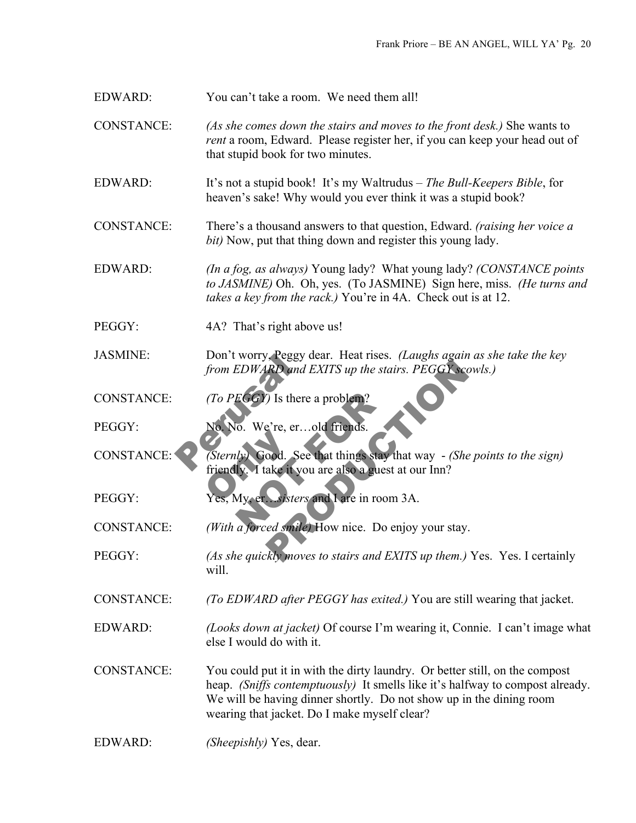EDWARD: You can't take a room. We need them all!

CONSTANCE: *(As she comes down the stairs and moves to the front desk.)* She wants to *rent* a room, Edward.Please register her, if you can keep your head out of that stupid book for two minutes.

EDWARD: It's not a stupid book! It's my Waltrudus – *The Bull-Keepers Bible*, for heaven's sake! Why would you ever think it was a stupid book?

CONSTANCE: There's a thousand answers to that question, Edward. *(raising her voice a bit)* Now, put that thing down and register this young lady.

EDWARD: *(In a fog, as always)* Young lady? What young lady? *(CONSTANCE points to JASMINE)* Oh. Oh, yes. (To JASMINE) Sign here, miss. *(He turns and takes a key from the rack.)* You're in 4A. Check out is at 12.

PEGGY: 4A? That's right above us!

JASMINE: Don't worry, Peggy dear. Heat rises. *(Laughs again as she take the key from EDWARD and EXITS up the stairs. PEGGY scowls.)* 

CONSTANCE: *(To PEGGY)* Is there a problem?

PEGGY: No. No. We're, er...old friends.

Don t worry, Peggy de<br>from EDWARD and E.<br>(To PEGGY) Is there a<br>No. We're, er...o<br>(Sternly) Good. See the friendly Sternly Good. Set EGGY) Is there a problem?<br>
10. We're, er...old friends.<br>
14. Good. See that things stay there is a guest a<br>
19. The sixters and Lare in room.<br>
19. The sixters and Lare in room.<br>
19. The sixters and Lare in room.<br>
19. The s RD and EXITS up the stairs. PEGGY scowls.)<br>
(1) Is there a problem?<br>
(2) Is there a problem?<br>
(2) Is there a problem?<br>
(2) Is there a problem?<br>
(2) The stairs of the points of the points of the points of the points of the CONSTANCE: *(Sternly)* Good. See that things stay that way - *(She points to the sign)*  friendly. I take it you are also a guest at our Inn?

PEGGY: Yes, My, er…*sisters* and I are in room 3A.

CONSTANCE: *(With a forced smile)* How nice. Do enjoy your stay.

PEGGY: *(As she quickly moves to stairs and EXITS up them.)* Yes. Yes. I certainly will.

CONSTANCE: *(To EDWARD after PEGGY has exited.)* You are still wearing that jacket.

EDWARD: *(Looks down at jacket)* Of course I'm wearing it, Connie. I can't image what else I would do with it.

CONSTANCE: You could put it in with the dirty laundry. Or better still, on the compost heap. *(Sniffs contemptuously)* It smells like it's halfway to compost already. We will be having dinner shortly. Do not show up in the dining room wearing that jacket. Do I make myself clear?

EDWARD: *(Sheepishly)* Yes, dear.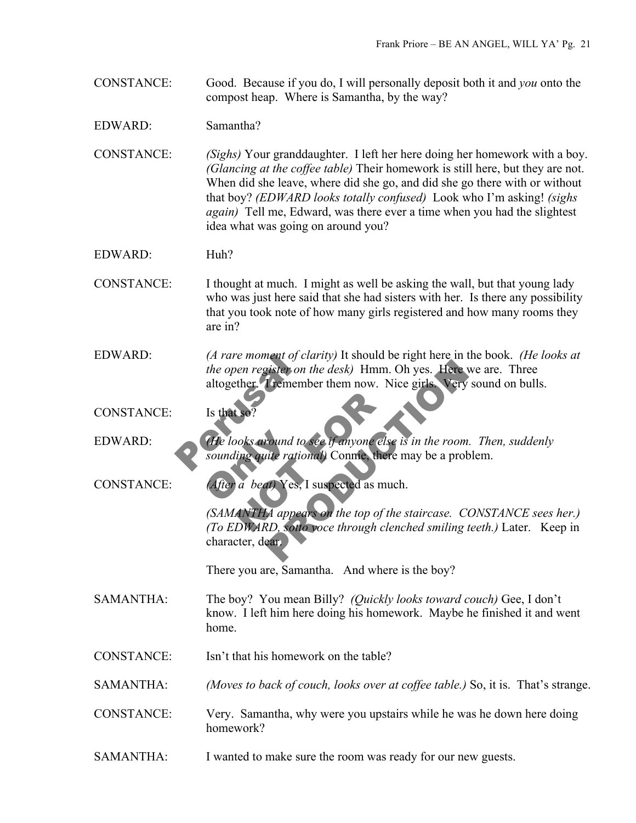CONSTANCE: Good. Because if you do, I will personally deposit both it and *you* onto the compost heap. Where is Samantha, by the way?

EDWARD: Samantha?

CONSTANCE: *(Sighs)* Your granddaughter. I left her here doing her homework with a boy. *(Glancing at the coffee table)* Their homework is still here, but they are not. When did she leave, where did she go, and did she go there with or without that boy? *(EDWARD looks totally confused)* Look who I'm asking! *(sighs again)* Tell me, Edward, was there ever a time when you had the slightest idea what was going on around you?

EDWARD: Huh?

CONSTANCE: I thought at much. I might as well be asking the wall, but that young lady who was just here said that she had sisters with her. Is there any possibility that you took note of how many girls registered and how many rooms they are in?

(*A rare moment of clare the open register on the altogether Tremembers 1 for the looks around to sequend to sequend in the sounding quite rational solution of*  $P$ EDWARD: *(A rare moment of clarity)* It should be right here in the book. *(He looks at the open register on the desk)* Hmm. Oh yes. Here we are. Three altogether. I remember them now. Nice girls. Very sound on bulls.

CONSTANCE: Is that so

(He looks around to<br>sounding quite ratio<br>(After a beat) Yes, Notes around to see if anyone else<br>
ling quite rational) Connie, there<br>
a beat) Yes, I suspected as much<br>
ANTHA appears on the top of the<br>
DWARD, sotto yoce through clen EDWARD: *(He looks around to see if anyone else is in the room. Then, suddenly sounding quite rational)* Connie, there may be a problem.

CONSTANCE: *(After a beat)* Yes, I suspected as much.

Fister on the desk) Hmm. Oh yes. Here we are.<br>I remember them now. Nice girls. Very sound of<br>Premember them now. Nice girls. Very sound of<br>the rational Connection of the room. Then,<br>it rational Connection of the staircase. *(SAMANTHA appears on the top of the staircase. CONSTANCE sees her.) (To EDWARD, sotto voce through clenched smiling teeth.)* Later.Keep in character, dear.

There you are, Samantha. And where is the boy?

- SAMANTHA: The boy? You mean Billy? *(Quickly looks toward couch)* Gee, I don't know. I left him here doing his homework. Maybe he finished it and went home.
- CONSTANCE: Isn't that his homework on the table?

SAMANTHA: *(Moves to back of couch, looks over at coffee table.)* So, it is. That's strange.

CONSTANCE: Very. Samantha, why were you upstairs while he was he down here doing homework?

SAMANTHA: I wanted to make sure the room was ready for our new guests.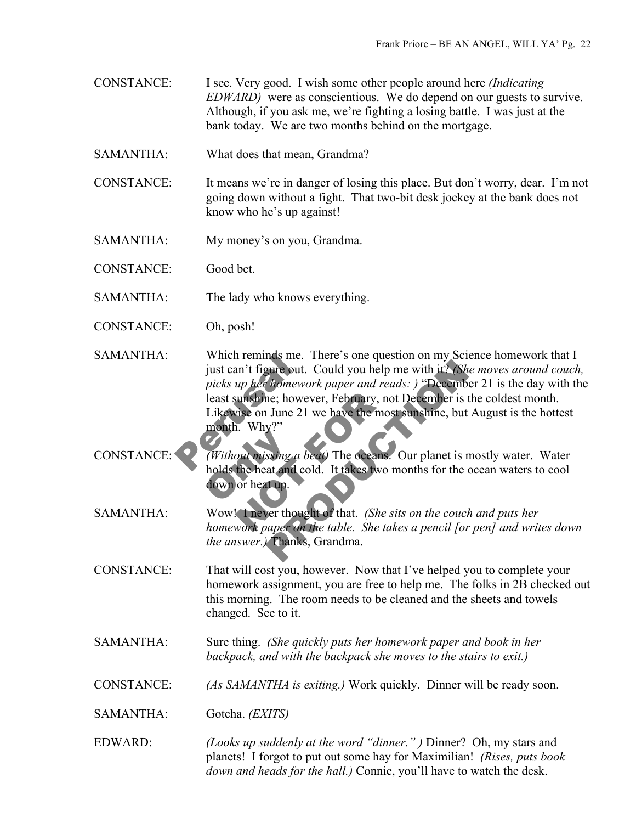- CONSTANCE: I see. Very good. I wish some other people around here *(Indicating EDWARD)* were as conscientious. We do depend on our guests to survive. Although, if you ask me, we're fighting a losing battle. I was just at the bank today. We are two months behind on the mortgage.
- SAMANTHA: What does that mean, Grandma?
- CONSTANCE: It means we're in danger of losing this place. But don't worry, dear. I'm not going down without a fight. That two-bit desk jockey at the bank does not know who he's up against!
- SAMANTHA: My money's on you, Grandma.

CONSTANCE: Good bet.

- SAMANTHA: The lady who knows everything.
- CONSTANCE: Oh, posh!
- Which reminds me. 1<br>just can't figure out. C<br>picks up her homework<br>least sunshine; howeve<br>Likewise on June 21 w<br>month. Why?"<br>(Without missing a bea Pure out. Could you help me with it? (She moves<br> *homework paper and reads:*) "December 21 is the; however, February, not December is the colde<br> **I** June 21 we have the most sunshine, but August<br>  $y$ ?"<br>
Signg *a beat*) Th SAMANTHA: Which reminds me. There's one question on my Science homework that I just can't figure out. Could you help me with it? *(She moves around couch, picks up her homework paper and reads: )* "December 21 is the day with the least sunshine; however, February, not December is the coldest month. Likewise on June 21 we have the most sunshine, but August is the hottest month. Why?"
- Without missing a b<br>holds the heat and co<br>down or heat up. Sunshine; however, February, not<br>
vise on June 21 we have the most<br>
i. Why?"<br>
out missing a beat) The oceans.<br>
the heat and cold. It takes two more<br>
here thought of that. (She site<br>
work paper on the table. She take CONSTANCE: *(Without missing a beat)* The oceans. Our planet is mostly water. Water holds the heat and cold. It takes two months for the ocean waters to cool down or heat up.
- SAMANTHA: Wow! I never thought of that. *(She sits on the couch and puts her homework paper on the table. She takes a pencil [or pen] and writes down the answer.)* Thanks, Grandma.
- CONSTANCE: That will cost you, however. Now that I've helped you to complete your homework assignment, you are free to help me. The folks in 2B checked out this morning. The room needs to be cleaned and the sheets and towels changed. See to it.
- SAMANTHA: Sure thing. *(She quickly puts her homework paper and book in her backpack, and with the backpack she moves to the stairs to exit.)*
- CONSTANCE: *(As SAMANTHA is exiting.)* Work quickly. Dinner will be ready soon.
- SAMANTHA: Gotcha. *(EXITS)*
- EDWARD: *(Looks up suddenly at the word "dinner." )* Dinner? Oh, my stars and planets! I forgot to put out some hay for Maximilian! *(Rises, puts book down and heads for the hall.)* Connie, you'll have to watch the desk.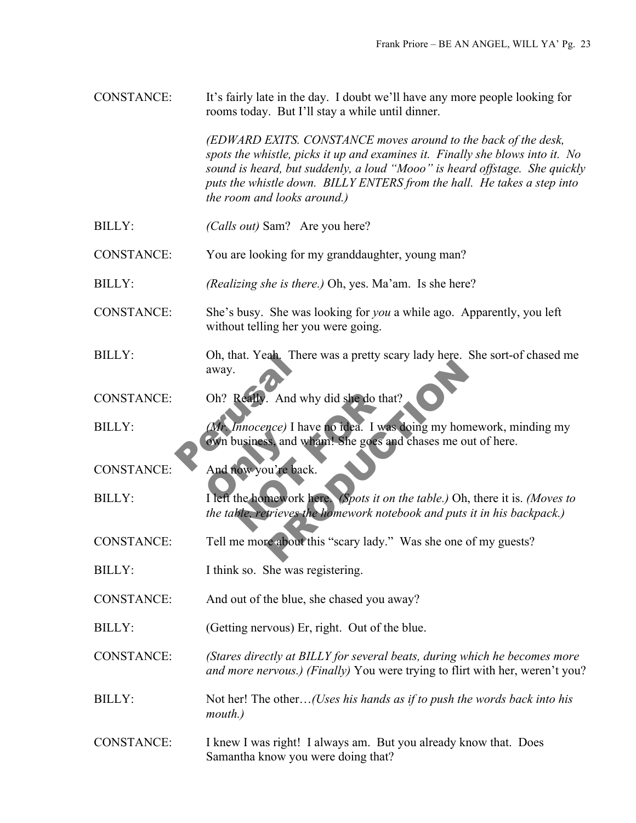CONSTANCE: It's fairly late in the day. I doubt we'll have any more people looking for rooms today. But I'll stay a while until dinner.

> *(EDWARD EXITS. CONSTANCE moves around to the back of the desk, spots the whistle, picks it up and examines it. Finally she blows into it. No sound is heard, but suddenly, a loud "Mooo" is heard offstage. She quickly puts the whistle down. BILLY ENTERS from the hall. He takes a step into the room and looks around.)*

- BILLY: *(Calls out)* Sam? Are you here?
- CONSTANCE: You are looking for my granddaughter, young man?
- BILLY: *(Realizing she is there.)* Oh, yes. Ma'am. Is she here?
- CONSTANCE: She's busy. She was looking for *you* a while ago. Apparently, you left without telling her you were going.
- BILLY: Oh, that. Yeah. There was a pretty scary lady here. She sort-of chased me away.
- CONSTANCE: Oh? Really. And why did she do that?
- On, that. Yeah, There<br>away.<br>Oh? Realty. And why<br>(Mr. Innocence) I have<br>cown business, and what Financial Countries<br>
Swin business, and w<br>
And now you're back Really. And why did she do that?<br>
nnocence) I have no idea. I was<br>
usiness, and wham! She goes and<br>
www.you're back.<br>
the homework here (Spots it on the the homework noteb The Main of the Main of the Main of the Main of the Main of the Main of the Main of the Main of the Main of the Main of the Main of the Main of the Main of the Main of the Main of the Main of the Main of the Main of the Ma BILLY: *(Mr. Innocence)* I have no idea. I was doing my homework, minding my own business, and wham! She goes and chases me out of here.
- CONSTANCE: And now you're back.
- BILLY: I left the homework here. *(Spots it on the table.)* Oh, there it is. *(Moves to the table, retrieves the homework notebook and puts it in his backpack.)*
- CONSTANCE: Tell me more about this "scary lady." Was she one of my guests?
- BILLY: I think so. She was registering.
- CONSTANCE: And out of the blue, she chased you away?
- BILLY: (Getting nervous) Er, right. Out of the blue.

CONSTANCE: *(Stares directly at BILLY for several beats, during which he becomes more and more nervous.) (Finally)* You were trying to flirt with her, weren't you?

- BILLY: Not her! The other…*(Uses his hands as if to push the words back into his mouth.)*
- CONSTANCE: I knew I was right! I always am. But you already know that. Does Samantha know you were doing that?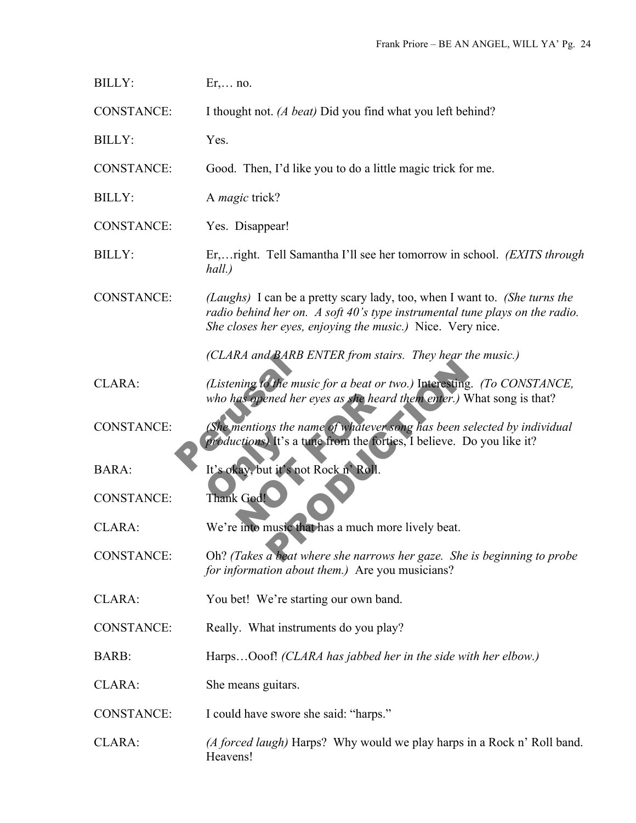| <b>BILLY:</b>     | $Er, \ldots no.$                                                                                                                                                                                                        |
|-------------------|-------------------------------------------------------------------------------------------------------------------------------------------------------------------------------------------------------------------------|
| <b>CONSTANCE:</b> | I thought not. (A beat) Did you find what you left behind?                                                                                                                                                              |
| <b>BILLY:</b>     | Yes.                                                                                                                                                                                                                    |
| <b>CONSTANCE:</b> | Good. Then, I'd like you to do a little magic trick for me.                                                                                                                                                             |
| <b>BILLY:</b>     | A <i>magic</i> trick?                                                                                                                                                                                                   |
| <b>CONSTANCE:</b> | Yes. Disappear!                                                                                                                                                                                                         |
| <b>BILLY:</b>     | Er, right. Tell Samantha I'll see her tomorrow in school. (EXITS through<br>hall.)                                                                                                                                      |
| <b>CONSTANCE:</b> | (Laughs) I can be a pretty scary lady, too, when I want to. (She turns the<br>radio behind her on. A soft 40's type instrumental tune plays on the radio.<br>She closes her eyes, enjoying the music.) Nice. Very nice. |
|                   | (CLARA and BARB ENTER from stairs. They hear the music.)                                                                                                                                                                |
| CLARA:            | (Listening to the music for a beat or two.) Interesting. (To CONSTANCE,<br>who has opened her eyes as she heard them enter.) What song is that?                                                                         |
| <b>CONSTANCE:</b> | (She mentions the name of whatever song has been selected by individual<br><i>productions</i> ) It's a tune from the forties, I believe. Do you like it?                                                                |
| <b>BARA:</b>      | It's okay, but it's not Rock n' Roll.                                                                                                                                                                                   |
| <b>CONSTANCE:</b> | Thank God!                                                                                                                                                                                                              |
| <b>CLARA:</b>     | We're into music that has a much more lively beat.                                                                                                                                                                      |
| <b>CONSTANCE:</b> | Oh? (Takes a beat where she narrows her gaze. She is beginning to probe<br>for information about them.) Are you musicians?                                                                                              |
| CLARA:            | You bet! We're starting our own band.                                                                                                                                                                                   |
| <b>CONSTANCE:</b> | Really. What instruments do you play?                                                                                                                                                                                   |
| BARB:             | HarpsOoof! (CLARA has jabbed her in the side with her elbow.)                                                                                                                                                           |
| CLARA:            | She means guitars.                                                                                                                                                                                                      |
| <b>CONSTANCE:</b> | I could have swore she said: "harps."                                                                                                                                                                                   |
| CLARA:            | (A forced laugh) Harps? Why would we play harps in a Rock n' Roll band.<br>Heavens!                                                                                                                                     |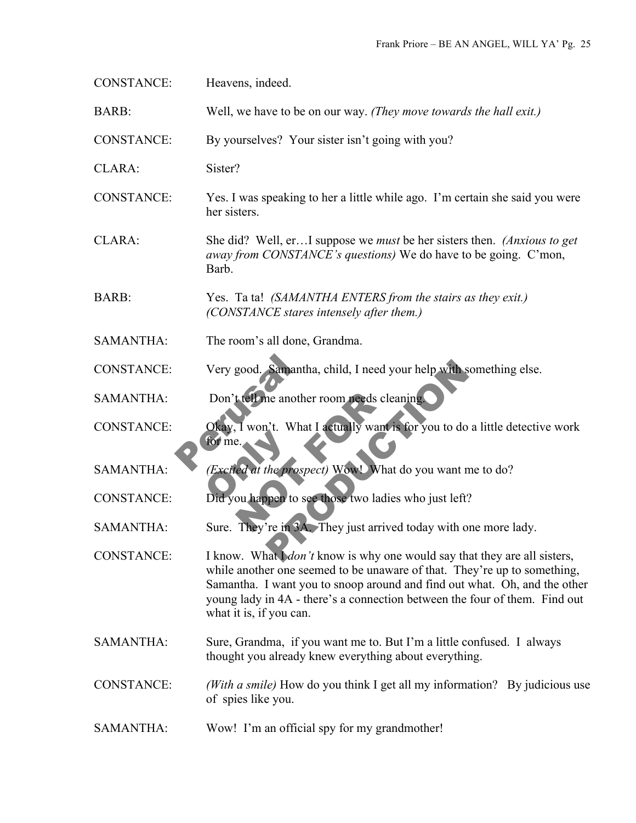| <b>CONSTANCE:</b> | Heavens, indeed.                                                                                                                                                                                                                                                                                                                                   |
|-------------------|----------------------------------------------------------------------------------------------------------------------------------------------------------------------------------------------------------------------------------------------------------------------------------------------------------------------------------------------------|
| BARB:             | Well, we have to be on our way. (They move towards the hall exit.)                                                                                                                                                                                                                                                                                 |
| <b>CONSTANCE:</b> | By yourselves? Your sister isn't going with you?                                                                                                                                                                                                                                                                                                   |
| CLARA:            | Sister?                                                                                                                                                                                                                                                                                                                                            |
| <b>CONSTANCE:</b> | Yes. I was speaking to her a little while ago. I'm certain she said you were<br>her sisters.                                                                                                                                                                                                                                                       |
| CLARA:            | She did? Well, erI suppose we <i>must</i> be her sisters then. <i>(Anxious to get</i> )<br><i>away from CONSTANCE's questions</i> ) We do have to be going. C'mon,<br>Barb.                                                                                                                                                                        |
| BARB:             | Yes. Ta ta! (SAMANTHA ENTERS from the stairs as they exit.)<br>(CONSTANCE stares intensely after them.)                                                                                                                                                                                                                                            |
| <b>SAMANTHA:</b>  | The room's all done, Grandma.                                                                                                                                                                                                                                                                                                                      |
| <b>CONSTANCE:</b> | Very good. Samantha, child, I need your help with something else.                                                                                                                                                                                                                                                                                  |
| <b>SAMANTHA:</b>  | Don't tell me another room needs cleaning.                                                                                                                                                                                                                                                                                                         |
| <b>CONSTANCE:</b> | Okay, I won't. What I actually want is for you to do a little detective work<br>for me                                                                                                                                                                                                                                                             |
| <b>SAMANTHA:</b>  | (Excited at the prospect) Wowl What do you want me to do?                                                                                                                                                                                                                                                                                          |
| <b>CONSTANCE:</b> | Did you happen to see those two ladies who just left?                                                                                                                                                                                                                                                                                              |
| <b>SAMANTHA:</b>  | Sure. They're in 3A. They just arrived today with one more lady.                                                                                                                                                                                                                                                                                   |
| <b>CONSTANCE:</b> | I know. What I <i>don't</i> know is why one would say that they are all sisters,<br>while another one seemed to be unaware of that. They're up to something,<br>Samantha. I want you to snoop around and find out what. Oh, and the other<br>young lady in 4A - there's a connection between the four of them. Find out<br>what it is, if you can. |
| <b>SAMANTHA:</b>  | Sure, Grandma, if you want me to. But I'm a little confused. I always<br>thought you already knew everything about everything.                                                                                                                                                                                                                     |
| <b>CONSTANCE:</b> | (With a smile) How do you think I get all my information? By judicious use<br>of spies like you.                                                                                                                                                                                                                                                   |
| <b>SAMANTHA:</b>  | Wow! I'm an official spy for my grandmother!                                                                                                                                                                                                                                                                                                       |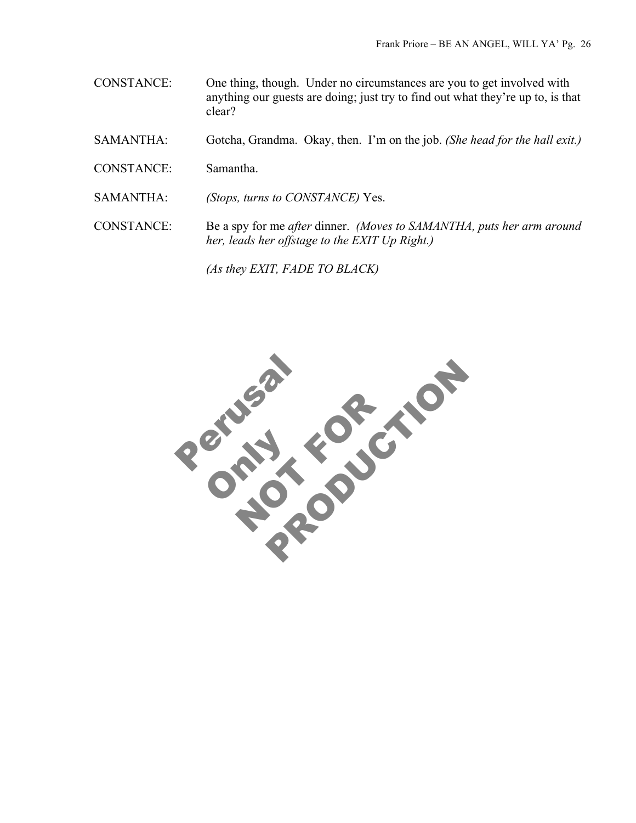- CONSTANCE: One thing, though. Under no circumstances are you to get involved with anything our guests are doing; just try to find out what they're up to, is that clear?
- SAMANTHA: Gotcha, Grandma. Okay, then. I'm on the job. *(She head for the hall exit.)*
- CONSTANCE: Samantha.
- SAMANTHA: *(Stops, turns to CONSTANCE)* Yes.
- CONSTANCE: Be a spy for me *after* dinner. *(Moves to SAMANTHA, puts her arm around her, leads her offstage to the EXIT Up Right.)*

*(As they EXIT, FADE TO BLACK)*

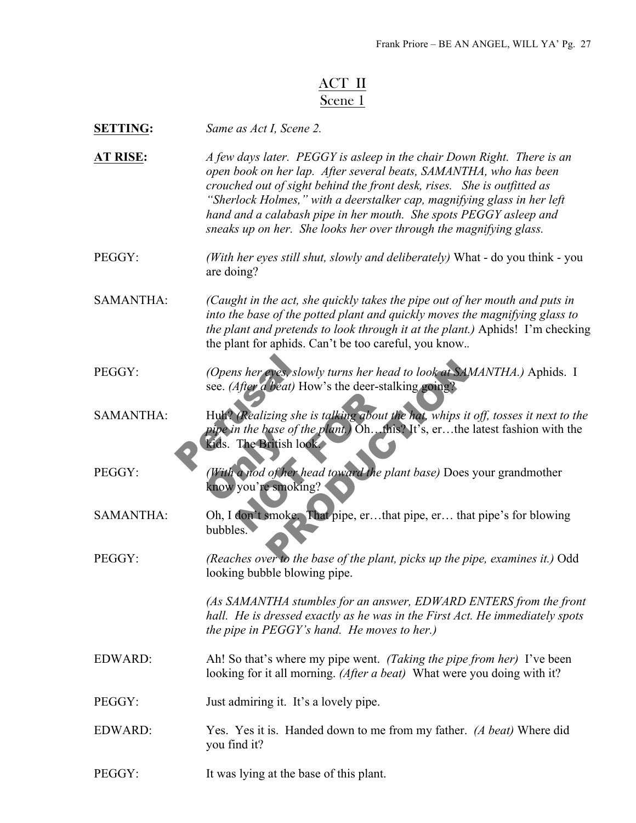# ACT II Scene 1

| <b>SETTING:</b> | Same as Act I, Scene 2. |
|-----------------|-------------------------|
|                 |                         |

**AT RISE:** *A few days later. PEGGY is asleep in the chair Down Right. There is an open book on her lap. After several beats, SAMANTHA, who has been crouched out of sight behind the front desk, rises. She is outfitted as "Sherlock Holmes," with a deerstalker cap, magnifying glass in her left hand and a calabash pipe in her mouth. She spots PEGGY asleep and sneaks up on her. She looks her over through the magnifying glass.*

PEGGY: *(With her eyes still shut, slowly and deliberately)* What - do you think - you are doing?

SAMANTHA: *(Caught in the act, she quickly takes the pipe out of her mouth and puts in into the base of the potted plant and quickly moves the magnifying glass to the plant and pretends to look through it at the plant.)* Aphids! I'm checking the plant for aphids. Can't be too careful, you know.*.*

PEGGY: *(Opens her eyes, slowly turns her head to look at SAMANTHA.)* Aphids. I see. *(After a beat)* How's the deer-stalking going?

(Opens her eyes, slow)<br>see. (After a beat) How<br>Huh? (Realizing she is<br>pipe in the base of the<br>Kids. The British look Realizing she is talking about the<br>
n the base of the plant.) Oh. this<br>
The British look.<br>
a nod of her head toward the plant<br>
you're smoking?<br>
don't smoke. That pipe, er...that eves, slowly turns her head to look at SAMANTH.<br>
theat) How's the deer-stalking going?<br>
izing she is talking about the hat, whips it off, toss<br>
base of the plant) Oh. this? It's, er...the latest fa<br>
iritish look<br>
of her he SAMANTHA: Huh? *(Realizing she is talking about the hat, whips it off, tosses it next to the pipe in the base of the plant.)* Oh…this? It's, er…the latest fashion with the kids. The British look.

pipe in the buse of the<br>Kids. The British loc<br>(With a nod of her h<br>know you're smoking PEGGY: *(With a nod of her head toward the plant base)* Does your grandmother know you're smoking?

SAMANTHA: Oh, I don't smoke. That pipe, er…that pipe, er… that pipe's for blowing bubbles.

PEGGY: *(Reaches over to the base of the plant, picks up the pipe, examines it.)* Odd looking bubble blowing pipe.

> *(As SAMANTHA stumbles for an answer, EDWARD ENTERS from the front hall. He is dressed exactly as he was in the First Act. He immediately spots the pipe in PEGGY's hand. He moves to her.)*

- EDWARD: Ah! So that's where my pipe went. *(Taking the pipe from her)* I've been looking for it all morning. *(After a beat)* What were you doing with it?
- PEGGY: Just admiring it. It's a lovely pipe.
- EDWARD: Yes. Yes it is. Handed down to me from my father. *(A beat)* Where did you find it?
- PEGGY: It was lying at the base of this plant.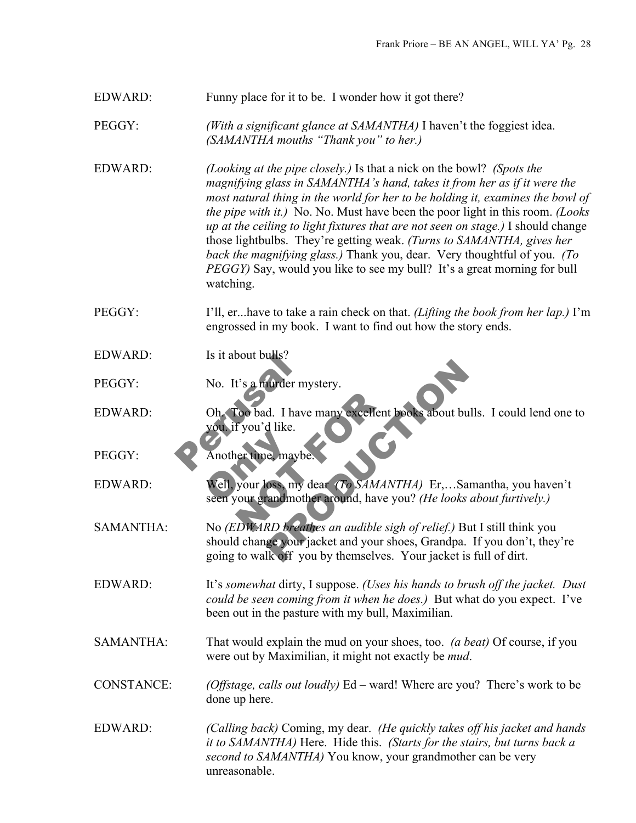## EDWARD: Funny place for it to be. I wonder how it got there?

PEGGY: *(With a significant glance at SAMANTHA)* I haven't the foggiest idea. *(SAMANTHA mouths "Thank you" to her.)*

EDWARD: *(Looking at the pipe closely.)* Is that a nick on the bowl? *(Spots the magnifying glass in SAMANTHA's hand, takes it from her as if it were the most natural thing in the world for her to be holding it, examines the bowl of the pipe with it.)* No. No. Must have been the poor light in this room. *(Looks up at the ceiling to light fixtures that are not seen on stage.)* I should change those lightbulbs. They're getting weak. *(Turns to SAMANTHA, gives her back the magnifying glass.)* Thank you, dear. Very thoughtful of you. *(To PEGGY*) Say, would you like to see my bull? It's a great morning for bull watching.

PEGGY: I'll, er...have to take a rain check on that. *(Lifting the book from her lap.)* I'm engrossed in my book. I want to find out how the story ends.

EDWARD: Is it about bulls?

PEGGY: No. It's a murder mystery.

Is it about burs?<br>No. It's a murder mys<br>Oh. Too bad. I have r<br>you if you'd like.<br>Another time, maybe. Too bad. I have many excellent by<br>
f you'd like.<br>
Her time, maybe.<br>
Her time, maybe.<br>
Her time, maybe.<br>
To SAMANT<br>
Nour grandmother around, have your grandmother around, have you EDWARD: Oh. Too bad. I have many excellent books about bulls. I could lend one to you. if you'd like.

PEGGY: Another time, maybe

Another time, maybe<br>Well, your loss, my<br>seen your grandmotl EDWARD: Well, your loss, my dear *(To SAMANTHA)* Er,…Samantha, you haven't seen your grandmother around, have you? *(He looks about furtively.)*

Aurder mystery.<br>
d. I have many excellent books about bulls. I co<br>
d like.<br>
e, maybe.<br>
oss, my dear (To SAMANTHA) Er,...Samantha,<br>
randmother around, have you? (*He looks about fu*<br>
RD breathes an audible sigh of relief.) SAMANTHA: No *(EDWARD breathes an audible sigh of relief.)* But I still think you should change your jacket and your shoes, Grandpa. If you don't, they're going to walk off you by themselves. Your jacket is full of dirt.

EDWARD: It's *somewhat* dirty, I suppose. *(Uses his hands to brush off the jacket. Dust could be seen coming from it when he does.)* But what do you expect. I've been out in the pasture with my bull, Maximilian.

SAMANTHA: That would explain the mud on your shoes, too. *(a beat)* Of course, if you were out by Maximilian, it might not exactly be *mud*.

CONSTANCE: *(Offstage, calls out loudly)* Ed – ward! Where are you? There's work to be done up here.

EDWARD: *(Calling back)* Coming, my dear. *(He quickly takes off his jacket and hands it to SAMANTHA)* Here. Hide this. *(Starts for the stairs, but turns back a second to SAMANTHA)* You know, your grandmother can be very unreasonable.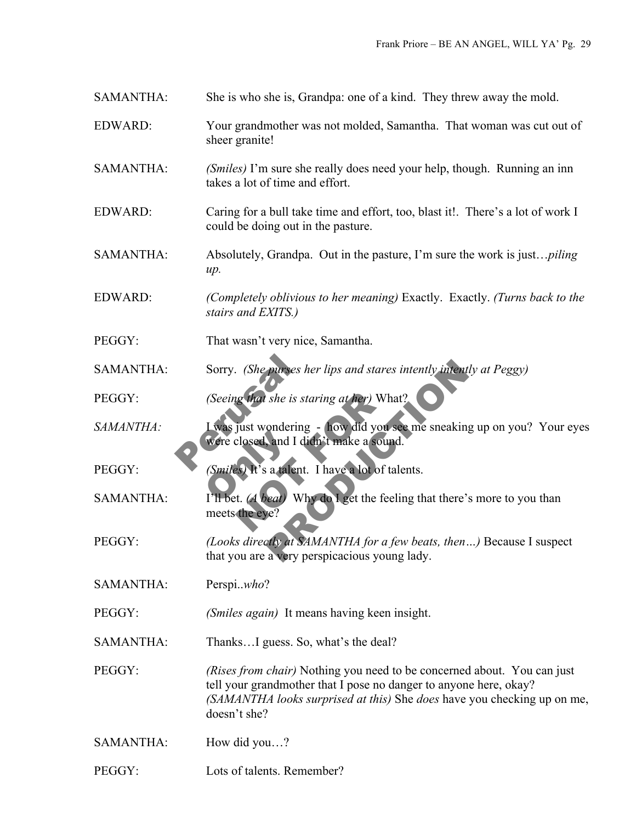SAMANTHA: She is who she is, Grandpa: one of a kind. They threw away the mold.

- EDWARD: Your grandmother was not molded, Samantha. That woman was cut out of sheer granite!
- SAMANTHA: *(Smiles)* I'm sure she really does need your help, though. Running an inn takes a lot of time and effort.
- EDWARD: Caring for a bull take time and effort, too, blast it!. There's a lot of work I could be doing out in the pasture.
- SAMANTHA: Absolutely, Grandpa. Out in the pasture, I'm sure the work is just…*piling up.*
- EDWARD: *(Completely oblivious to her meaning)* Exactly. Exactly. *(Turns back to the stairs and EXITS.)*
- PEGGY: That wasn't very nice, Samantha.
- SAMANTHA: Sorry. *(She purses her lips and stares intently intently at Peggy)*
- PEGGY: *(Seeing that she is staring at her)* What?
- Sorry. (She purses her<br>(Seeing that she is star<br>Lwas just wondering<br>were closed, and I did Were closed, and I didn't make a sound.<br>
(Smiles) It's a talent. I have a lot of tale<br>
I'll bet. (A beat) Why do I get the feeling *SAMANTHA:* I was just wondering - how did you see me sneaking up on you? Your eyes
- PEGGY: *(Smiles)* It's a talent. I have a lot of talents.
- In the is staring at her) What<br>
yust wondering how did you see<br>
closed, and I didn't make a sound<br>
es) It's a talent. I have a lot of talent.<br>
It. (A beat) Why do I get the feeli<br>
the eye? purses her lips and stares intently intently at Peg<br>
she is staring at her) What?<br>
ondering - how did you see me sneaking up on y<br>
and I didn't make a sound.<br>
a talent. I have a lot of talents.<br>
lead Why do I get the feeli SAMANTHA: I'll bet. *(A beat)* Why do I get the feeling that there's more to you than meets the eye?
- PEGGY: *(Looks directly at SAMANTHA for a few beats, then…)* Because I suspect that you are a very perspicacious young lady.
- SAMANTHA: Perspi..*who*?
- PEGGY: *(Smiles again)* It means having keen insight.
- SAMANTHA: Thanks...I guess. So, what's the deal?

PEGGY: *(Rises from chair)* Nothing you need to be concerned about. You can just tell your grandmother that I pose no danger to anyone here, okay? *(SAMANTHA looks surprised at this)* She *does* have you checking up on me, doesn't she?

- SAMANTHA: How did you…?
- PEGGY: Lots of talents. Remember?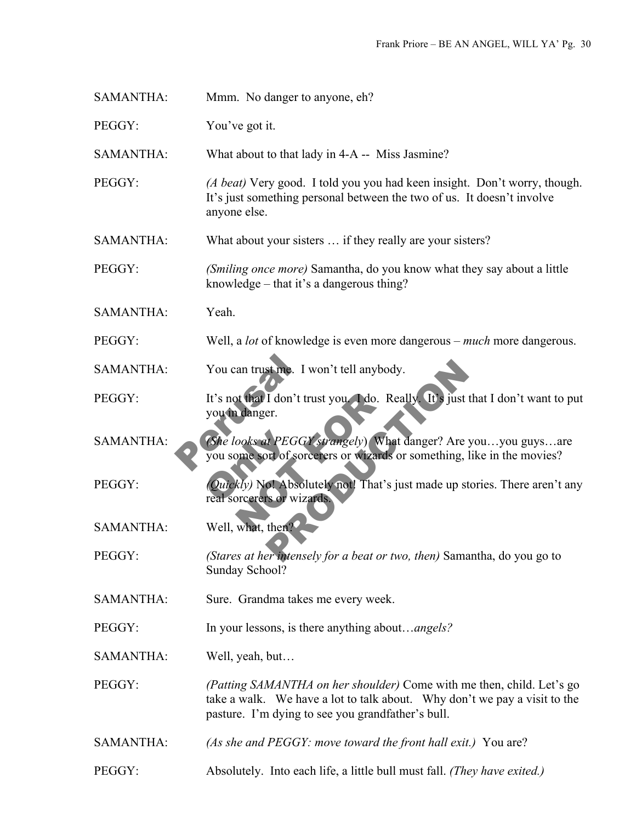| <b>SAMANTHA:</b> | Mmm. No danger to anyone, eh? |
|------------------|-------------------------------|
| PEGGY:           | You've got it.                |

SAMANTHA: What about to that lady in 4-A -- Miss Jasmine?

- PEGGY: *(A beat)* Very good. I told you you had keen insight. Don't worry, though. It's just something personal between the two of us. It doesn't involve anyone else.
- SAMANTHA: What about your sisters … if they really are your sisters?
- PEGGY: *(Smiling once more)* Samantha, do you know what they say about a little knowledge – that it's a dangerous thing?
- SAMANTHA: Yeah.
- PEGGY: Well, a *lot* of knowledge is even more dangerous *much* more dangerous.
- SAMANTHA: You can trust me. I won't tell anybody.
- You can trust me. I we<br>It's not that I don't trus<br>you in danger.<br>(She looks at PEGGY, you some sort of sorce St me. I won't tell anybody.<br>
I don't trust you (1 do. Really It's just that I do<br>
er.<br>
A PEGGY strangely) What danger? Are you...you<br>
of of sorcerers or wizards or something, like in the<br>
of Absolutely not! That's just ma PEGGY: It's not that I don't trust you. I do. Really. It's just that I don't want to put you in danger.

SAMANTHA: *(She looks at PEGGY strangely*) What danger? Are you...you guys...are<br>you some sort of sorcerers or wizards or something, like in the movies?<br>PEGGY: *Quickly*) Not Absolutely not! That's just made up stories. Th ooks at PEGGY strangely) What<br>
what PEGGY strangely) What<br>
where sort of sorcerers or wizards of<br>
kly) Not Absolutely not! That's juncerers or wizards<br>
what, then? you some sort of sorcerers or wizards or something, like in the movies?

PEGGY: *(Quickly)* No! Absolutely not! That's just made up stories. There aren't any real sorcerers or wizards.

SAMANTHA: Well, what, then?

- PEGGY: *(Stares at her intensely for a beat or two, then)* Samantha, do you go to Sunday School?
- SAMANTHA: Sure. Grandma takes me every week.

PEGGY: In your lessons, is there anything about…*angels?*

SAMANTHA: Well, yeah, but…

- PEGGY: *(Patting SAMANTHA on her shoulder)* Come with me then, child. Let's go take a walk. We have a lot to talk about. Why don't we pay a visit to the pasture. I'm dying to see you grandfather's bull.
- SAMANTHA: *(As she and PEGGY: move toward the front hall exit.)* You are?
- PEGGY: Absolutely. Into each life, a little bull must fall. *(They have exited.)*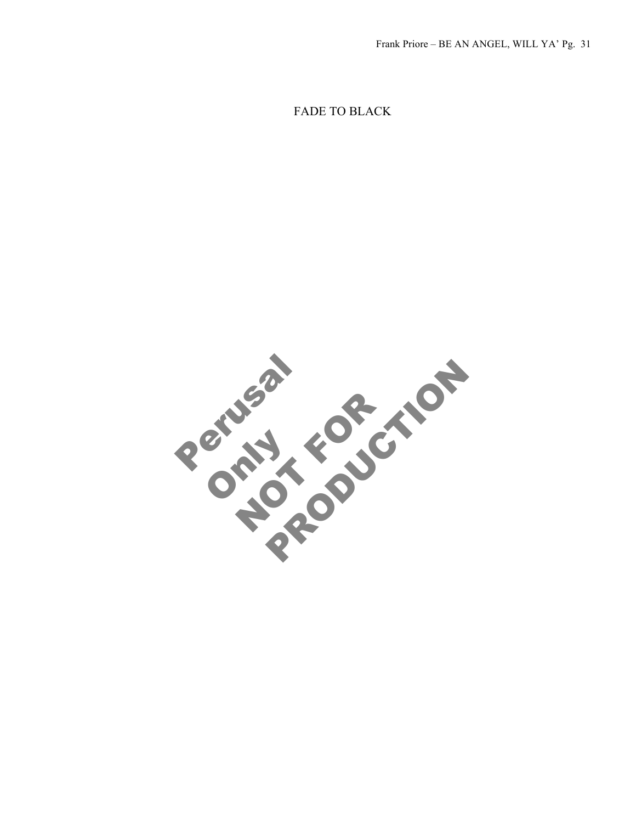FADE TO BLACK

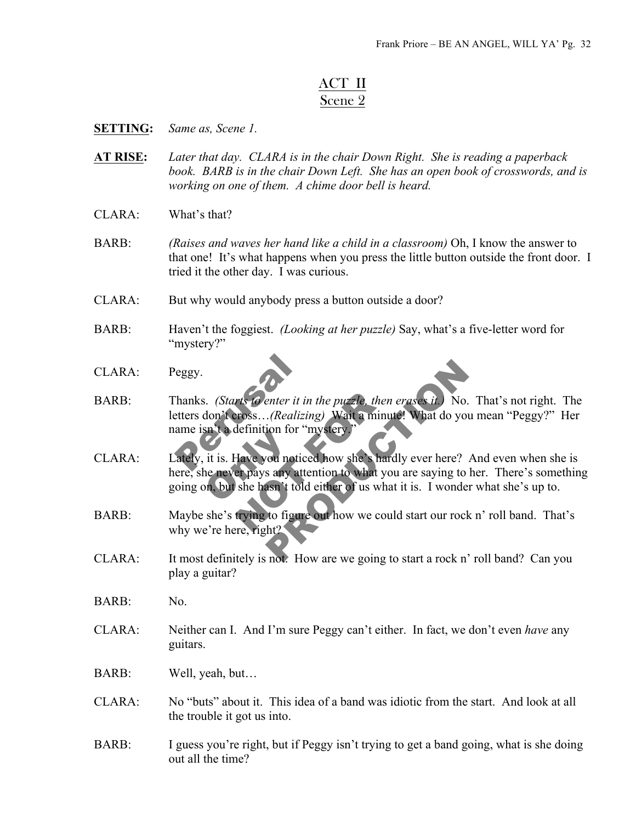## ACT II Scene 2

#### **SETTING:** *Same as, Scene 1.*

- **AT RISE:** *Later that day. CLARA is in the chair Down Right. She is reading a paperback book. BARB is in the chair Down Left. She has an open book of crosswords, and is working on one of them. A chime door bell is heard.*
- $CIARA:$  What's that?
- BARB: *(Raises and waves her hand like a child in a classroom)* Oh, I know the answer to that one! It's what happens when you press the little button outside the front door. I tried it the other day. I was curious.
- CLARA: But why would anybody press a button outside a door?
- BARB: Haven't the foggiest. *(Looking at her puzzle)* Say, what's a five-letter word for "mystery?"
- CLARA: Peggy.
- eggy.<br>
hanks. (Starts 16 enter it in the effects don't cross... (Realizing<br>
ame isn't a definition for "m letters don't cross…*(Realizing)* Wait a minute! What do you mean "Peggy?" Her name isn't a definition for "mystery."
- it is. Have you notice<br>the never pays any att<br>on, but she hasn't tole Hanks. *(Starts to enter it in the puzzle, then erases it.)* No. That's not right. The<br>letters don't cross...*(Realizing)* Wait a minute! What do you mean "Peggy?" Her<br>name isn't a definition for "mystery"<br>CLARA:<br>Lately, i Fundant External Contract in the puzzle, then erases it. No. That's<br>
(Realizing) Wait a minute! What do you mean "<br>
ion for "mystery."<br>
You noticed how she's hardly ever here? And eve<br>
san't told either of us what it is. I CLARA: Lately, it is. Have you noticed how she's hardly ever here? And even when she is here, she never pays any attention to what you are saying to her. There's something going on, but she hasn't told either of us what it is. I wonder what she's up to.
- BARB: Maybe she's trying to figure out how we could start our rock n' roll band. That's why we're here, right?
- CLARA: It most definitely is not. How are we going to start a rock n' roll band? Can you play a guitar?
- BARB: No.
- CLARA: Neither can I. And I'm sure Peggy can't either. In fact, we don't even *have* any guitars.
- BARB: Well, yeah, but…
- CLARA: No "buts" about it. This idea of a band was idiotic from the start. And look at all the trouble it got us into.
- BARB: I guess you're right, but if Peggy isn't trying to get a band going, what is she doing out all the time?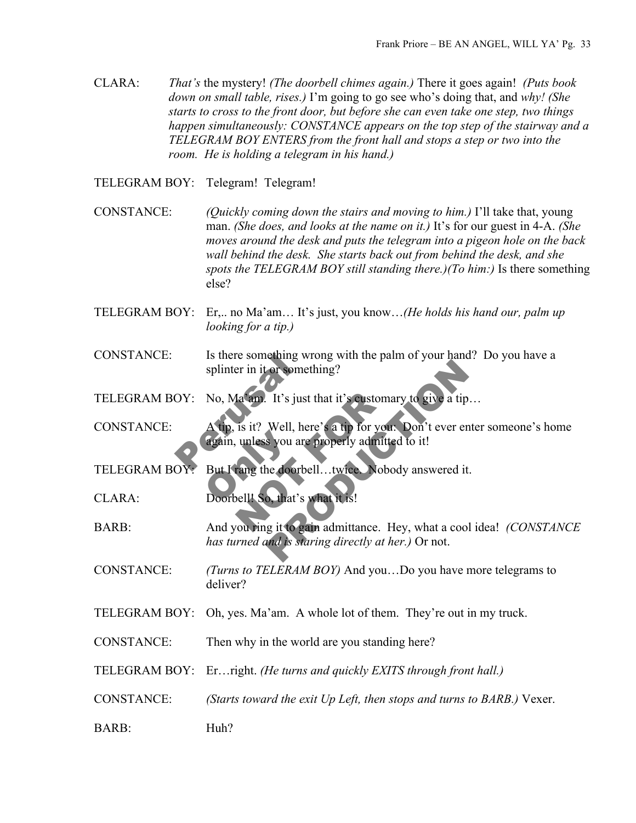CLARA: *That's* the mystery! *(The doorbell chimes again.)* There it goes again! *(Puts book down on small table, rises.)* I'm going to go see who's doing that, and *why! (She starts to cross to the front door, but before she can even take one step, two things happen simultaneously: CONSTANCE appears on the top step of the stairway and a TELEGRAM BOY ENTERS from the front hall and stops a step or two into the room. He is holding a telegram in his hand.)*

TELEGRAM BOY: Telegram! Telegram!

- CONSTANCE: *(Quickly coming down the stairs and moving to him.)* I'll take that, young man. *(She does, and looks at the name on it.)* It's for our guest in 4-A. *(She moves around the desk and puts the telegram into a pigeon hole on the back wall behind the desk. She starts back out from behind the desk, and she spots the TELEGRAM BOY still standing there.)(To him:)* Is there something else?
- TELEGRAM BOY: Er,.. no Ma'am… It's just, you know…*(He holds his hand our, palm up looking for a tip.)*
- CONSTANCE: Is there something wrong with the palm of your hand? Do you have a splinter in it or something?
- TELEGRAM BOY: No, Ma'am. It's just that it's customary to give a tip...
- Is there something wro<br>splinter in it or someth<br>OY: No, Ma am. It's just the<br>A tip, is it? Well, here<br>again, unless you are p again, unless you are<br>But I rang the doorb Ia am. It's just that it's customary<br>is it? Well, here's a tip for you.<br>unless you are properly admitted<br>rang the doorbell...twice. Nobod<br>bell! So, that's what it is!<br>you ring it to gain admittance. He The Solutions of the Solutions of the Solutions of the Solutions of the Solutions of the Solutions of the Solutions of the Solutions of the Solutions of the Solutions of the Solutions of the Solutions of the Solutions of t CONSTANCE: A tip, is it? Well, here's a tip for you: Don't ever enter someone's home again, unless you are properly admitted to it!

TELEGRAM BOY: But I rang the doorbell...twice. Nobody answered it.

CLARA: Doorbell! So, that's what it is!

- BARB: And you ring it to gain admittance. Hey, what a cool idea! *(CONSTANCE has turned and is staring directly at her.)* Or not.
- CONSTANCE: *(Turns to TELERAM BOY)* And you…Do you have more telegrams to deliver?
- TELEGRAM BOY: Oh, yes. Ma'am. A whole lot of them. They're out in my truck.
- CONSTANCE: Then why in the world are you standing here?

TELEGRAM BOY: Er…right. *(He turns and quickly EXITS through front hall.)*

- CONSTANCE: *(Starts toward the exit Up Left, then stops and turns to BARB.)* Vexer.
- BARB: Huh?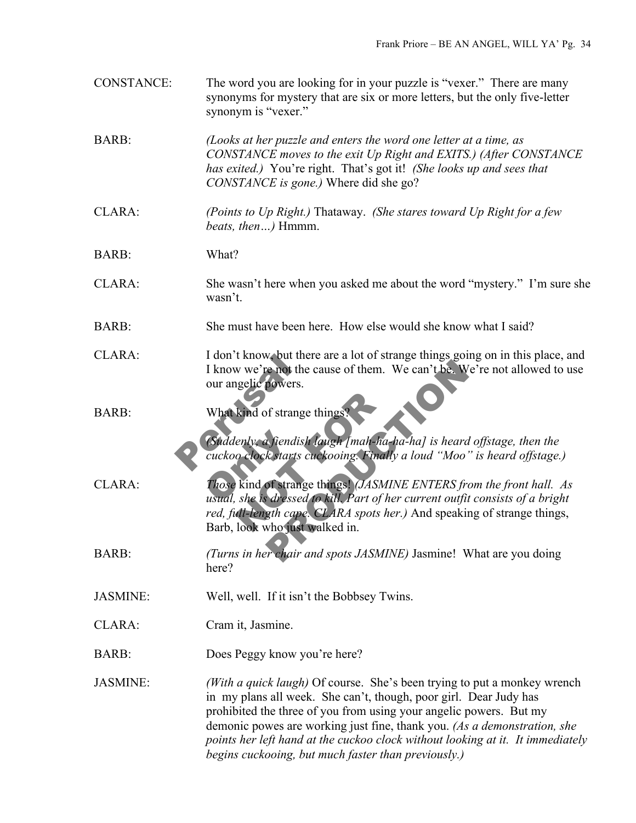| <b>CONSTANCE:</b> | The word you are looking for in your puzzle is "vexer." There are many<br>synonyms for mystery that are six or more letters, but the only five-letter<br>synonym is "vexer."                                                                                                                                                                                                                                                             |
|-------------------|------------------------------------------------------------------------------------------------------------------------------------------------------------------------------------------------------------------------------------------------------------------------------------------------------------------------------------------------------------------------------------------------------------------------------------------|
| <b>BARB:</b>      | (Looks at her puzzle and enters the word one letter at a time, as<br>CONSTANCE moves to the exit Up Right and EXITS.) (After CONSTANCE<br>has exited.) You're right. That's got it! (She looks up and sees that<br>CONSTANCE is gone.) Where did she go?                                                                                                                                                                                 |
| CLARA:            | (Points to Up Right.) Thataway. (She stares toward Up Right for a few<br><i>beats, then</i> ) Hmmm.                                                                                                                                                                                                                                                                                                                                      |
| BARB:             | What?                                                                                                                                                                                                                                                                                                                                                                                                                                    |
| CLARA:            | She wasn't here when you asked me about the word "mystery." I'm sure she<br>wasn't.                                                                                                                                                                                                                                                                                                                                                      |
| BARB:             | She must have been here. How else would she know what I said?                                                                                                                                                                                                                                                                                                                                                                            |
| CLARA:            | I don't know, but there are a lot of strange things going on in this place, and<br>I know we're not the cause of them. We can't be. We're not allowed to use<br>our angelic powers.                                                                                                                                                                                                                                                      |
| <b>BARB:</b>      | What kind of strange things?<br>(Suddenly, a fiendish laugh [mah-ha-ha-ha] is heard offstage, then the<br>cuckoo clock starts cuckooing. Finally a loud "Moo" is heard offstage.)                                                                                                                                                                                                                                                        |
| CLARA:            | Those kind of strange things! (JASMINE ENTERS from the front hall. As<br>usual, she is dressed to kill. Part of her current outfit consists of a bright<br>red, full-length cape. CLARA spots her.) And speaking of strange things,<br>Barb, look who just walked in.                                                                                                                                                                    |
| BARB:             | (Turns in her chair and spots JASMINE) Jasmine! What are you doing<br>here?                                                                                                                                                                                                                                                                                                                                                              |
| <b>JASMINE:</b>   | Well, well. If it isn't the Bobbsey Twins.                                                                                                                                                                                                                                                                                                                                                                                               |
| CLARA:            | Cram it, Jasmine.                                                                                                                                                                                                                                                                                                                                                                                                                        |
| BARB:             | Does Peggy know you're here?                                                                                                                                                                                                                                                                                                                                                                                                             |
| <b>JASMINE:</b>   | (With a quick laugh) Of course. She's been trying to put a monkey wrench<br>in my plans all week. She can't, though, poor girl. Dear Judy has<br>prohibited the three of you from using your angelic powers. But my<br>demonic powes are working just fine, thank you. (As a demonstration, she<br>points her left hand at the cuckoo clock without looking at it. It immediately<br>begins cuckooing, but much faster than previously.) |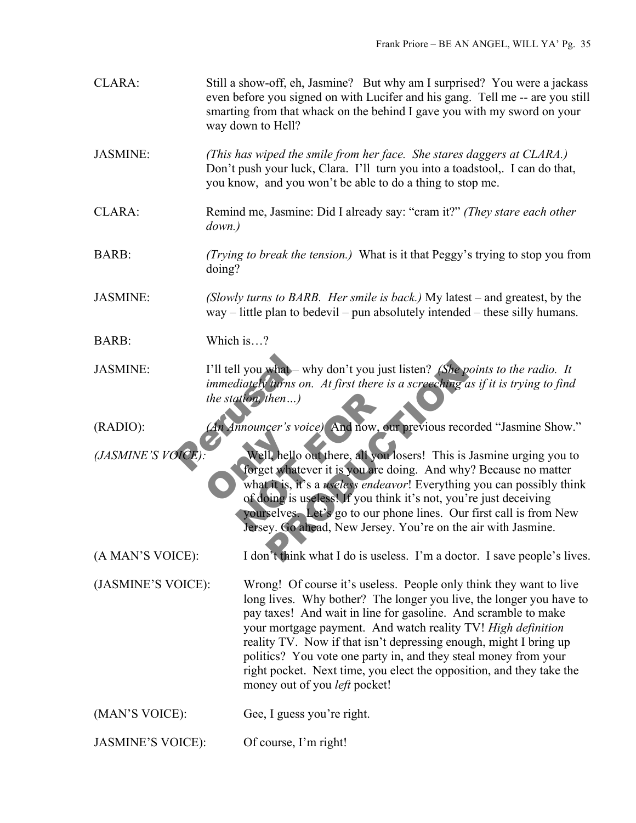| CLARA:                   | Still a show-off, eh, Jasmine? But why am I surprised? You were a jackass<br>even before you signed on with Lucifer and his gang. Tell me -- are you still<br>smarting from that whack on the behind I gave you with my sword on your<br>way down to Hell?                                                                                                                                                                                                                                                                          |
|--------------------------|-------------------------------------------------------------------------------------------------------------------------------------------------------------------------------------------------------------------------------------------------------------------------------------------------------------------------------------------------------------------------------------------------------------------------------------------------------------------------------------------------------------------------------------|
| <b>JASMINE:</b>          | (This has wiped the smile from her face. She stares daggers at CLARA.)<br>Don't push your luck, Clara. I'll turn you into a toadstool, I can do that,<br>you know, and you won't be able to do a thing to stop me.                                                                                                                                                                                                                                                                                                                  |
| CLARA:                   | Remind me, Jasmine: Did I already say: "cram it?" (They stare each other<br>down.)                                                                                                                                                                                                                                                                                                                                                                                                                                                  |
| <b>BARB:</b>             | (Trying to break the tension.) What is it that Peggy's trying to stop you from<br>doing?                                                                                                                                                                                                                                                                                                                                                                                                                                            |
| <b>JASMINE:</b>          | (Slowly turns to BARB. Her smile is back.) My latest – and greatest, by the<br>$way$ – little plan to bedevil – pun absolutely intended – these silly humans.                                                                                                                                                                                                                                                                                                                                                                       |
| <b>BARB:</b>             | Which is?                                                                                                                                                                                                                                                                                                                                                                                                                                                                                                                           |
| <b>JASMINE:</b>          | I'll tell you what - why don't you just listen? (She points to the radio. It<br>immediately turns on. At first there is a screeching as if it is trying to find<br>the station, then $\ldots$ )                                                                                                                                                                                                                                                                                                                                     |
| $(RADIO)$ :              | An Announcer's voice) And now, our previous recorded "Jasmine Show."                                                                                                                                                                                                                                                                                                                                                                                                                                                                |
| (JASMINE'S VOICE)        | Well, hello out there, all you losers! This is Jasmine urging you to<br>forget whatever it is you are doing. And why? Because no matter<br>what it is, it's a <i>useless endeavor</i> ! Everything you can possibly think<br>of doing is useless! If you think it's not, you're just deceiving<br>yourselves. Let's go to our phone lines. Our first call is from New<br>Jersey. Go ahead, New Jersey. You're on the air with Jasmine.                                                                                              |
| (A MAN'S VOICE):         | I don't think what I do is useless. I'm a doctor. I save people's lives.                                                                                                                                                                                                                                                                                                                                                                                                                                                            |
| (JASMINE'S VOICE):       | Wrong! Of course it's useless. People only think they want to live<br>long lives. Why bother? The longer you live, the longer you have to<br>pay taxes! And wait in line for gasoline. And scramble to make<br>your mortgage payment. And watch reality TV! High definition<br>reality TV. Now if that isn't depressing enough, might I bring up<br>politics? You vote one party in, and they steal money from your<br>right pocket. Next time, you elect the opposition, and they take the<br>money out of you <i>left</i> pocket! |
| (MAN'S VOICE):           | Gee, I guess you're right.                                                                                                                                                                                                                                                                                                                                                                                                                                                                                                          |
| <b>JASMINE'S VOICE):</b> | Of course, I'm right!                                                                                                                                                                                                                                                                                                                                                                                                                                                                                                               |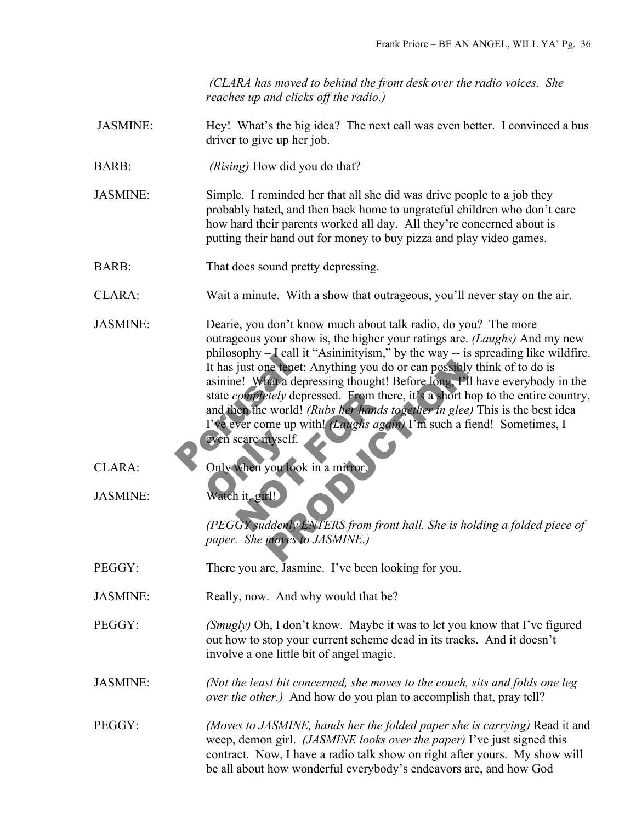*(CLARA has moved to behind the front desk over the radio voices. She reaches up and clicks off the radio.)* 

- JASMINE: Hey! What's the big idea? The next call was even better. I convinced a bus driver to give up her job.
- BARB: *(Rising)* How did you do that?

JASMINE: Simple. I reminded her that all she did was drive people to a job they probably hated, and then back home to ungrateful children who don't care how hard their parents worked all day. All they're concerned about is putting their hand out for money to buy pizza and play video games.

BARB: That does sound pretty depressing.

CLARA: Wait a minute. With a show that outrageous, you'll never stay on the air.

- pinosophy = can it<br>It has just one tenet: A<br>asinine! What a depre<br>state *completely* depres<br>and then the world! (R<br>I've ever come up with<br>even scare myself.<br>Only when you look in completely depressed. From there<br>
the world! (Rubs her hands to<br>
ver come up with! (Laughs again<br>
scare myself.<br>
when you look in a mirror.<br>
it, girl!)<br>
GY suddenly ENTERS from front The tenet: Anything you do or can possibly think of the depressing thought! Before long, PlI have every depressed. From there, it's a short hop to the world! (Rubs her hands together in glee) This is me up with! (Laughs ag JASMINE: Dearie, you don't know much about talk radio, do you? The more outrageous your show is, the higher your ratings are. *(Laughs)* And my new  $philosophy - I$  call it "Asininityism," by the way  $-$  is spreading like wildfire. It has just one tenet: Anything you do or can possibly think of to do is asinine! What a depressing thought! Before long, I'll have everybody in the state *completely* depressed. From there, it's a short hop to the entire country, and then the world! *(Rubs her hands together in glee)* This is the best idea I've ever come up with! *(Laughs again)* I'm such a fiend! Sometimes, I even scare myself.
- 
- even scare myself.<br>Only when you look<br>Watch it, girll CLARA: Only when you look in a mirror.
- JASMINE: Watch it, girl!

*(PEGGY suddenly ENTERS from front hall. She is holding a folded piece of paper. She moves to JASMINE.)*

- PEGGY: There you are, Jasmine. I've been looking for you.
- JASMINE: Really, now. And why would that be?

PEGGY: *(Smugly)* Oh, I don't know. Maybe it was to let you know that I've figured out how to stop your current scheme dead in its tracks. And it doesn't involve a one little bit of angel magic.

JASMINE: *(Not the least bit concerned, she moves to the couch, sits and folds one leg over the other.)* And how do you plan to accomplish that, pray tell?

PEGGY: *(Moves to JASMINE, hands her the folded paper she is carrying)* Read it and weep, demon girl. *(JASMINE looks over the paper)* I've just signed this contract. Now, I have a radio talk show on right after yours. My show will be all about how wonderful everybody's endeavors are, and how God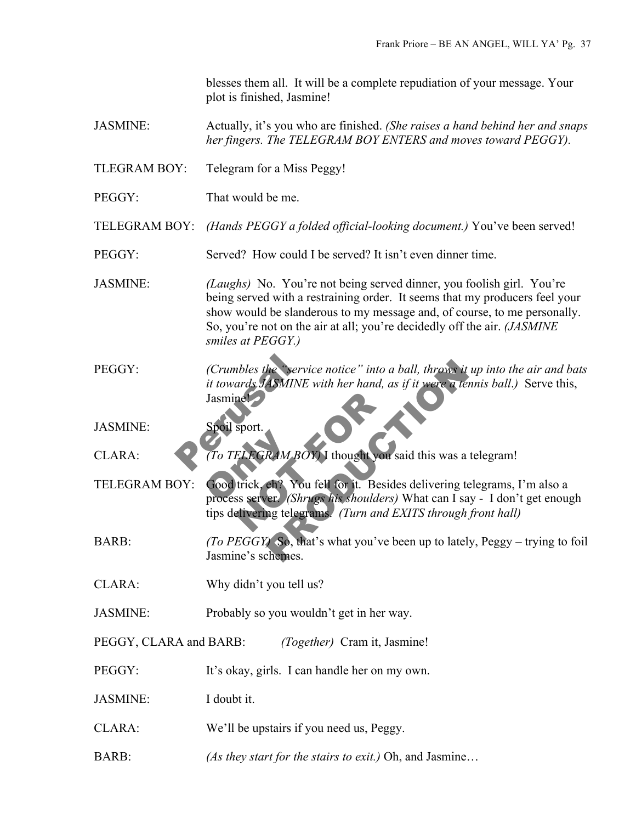blesses them all. It will be a complete repudiation of your message. Your plot is finished, Jasmine!

- JASMINE: Actually, it's you who are finished. *(She raises a hand behind her and snaps her fingers. The TELEGRAM BOY ENTERS and moves toward PEGGY).*
- TLEGRAM BOY: Telegram for a Miss Peggy!
- PEGGY: That would be me.
- TELEGRAM BOY: *(Hands PEGGY a folded official-looking document.)* You've been served!
- PEGGY: Served? How could I be served? It isn't even dinner time.
- JASMINE: *(Laughs)* No. You're not being served dinner, you foolish girl. You're being served with a restraining order. It seems that my producers feel your show would be slanderous to my message and, of course, to me personally. So, you're not on the air at all; you're decidedly off the air. *(JASMINE smiles at PEGGY.)*
- (Crumbles the "service")<br>
it towards JASMINE w<br>
Jasmine<br>
Spoil sport.<br>
To TELEGRAM BOY PEGGY: *(Crumbles the "service notice" into a ball, throws it up into the air and bats it towards JASMINE with her hand, as if it were a tennis ball.)* Serve this, Jasmine!
- JASMINE: Spoil sport.
- CLARA: *(To TELEGRAM BOY)* I thought you said this was a telegram!
- To TELEGRAM BC<br>Good trick, eh? You<br>process server. (Shr nel<br>
Sport.<br>
ELEGRAM BOY I thought you said<br>
trick, eh? You fell for it. Beside<br>
ss server (Shrugs his shoulders)<br>
elivering telegrams. (Turn and E. The "service notice" into a ball, throws it up into a<br>ASMINE with her hand, as if it were a tennis ball<br>RAM BOY) I thought you said this was a telegram<br>er. (Shrugs his shoulders) What can I say - I do<br>ng telegrams. (Turn a TELEGRAM BOY: Good trick, eh? You fell for it. Besides delivering telegrams, I'm also a process server. *(Shrugs his shoulders)* What can I say - I don't get enough tips delivering telegrams. *(Turn and EXITS through front hall)*
- BARB: *(To PEGGY)* So, that's what you've been up to lately, Peggy trying to foil Jasmine's schemes.
- CLARA: Why didn't you tell us?
- JASMINE: Probably so you wouldn't get in her way.
- PEGGY, CLARA and BARB: *(Together)* Cram it, Jasmine!
- PEGGY: It's okay, girls. I can handle her on my own.
- JASMINE: I doubt it.
- CLARA: We'll be upstairs if you need us, Peggy.
- BARB: *(As they start for the stairs to exit.)* Oh, and Jasmine…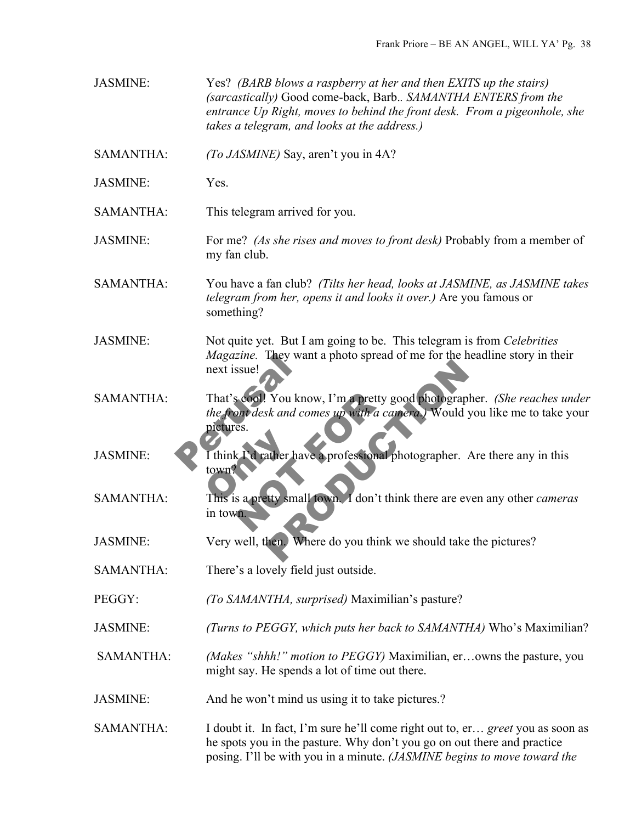JASMINE: Yes? *(BARB blows a raspberry at her and then EXITS up the stairs) (sarcastically)* Good come-back, Barb.*. SAMANTHA ENTERS from the entrance Up Right, moves to behind the front desk. From a pigeonhole, she takes a telegram, and looks at the address.)*

SAMANTHA: *(To JASMINE)* Say, aren't you in 4A?

JASMINE: Yes.

SAMANTHA: This telegram arrived for you.

- JASMINE: For me? *(As she rises and moves to front desk)* Probably from a member of my fan club.
- SAMANTHA: You have a fan club? *(Tilts her head, looks at JASMINE, as JASMINE takes telegram from her, opens it and looks it over.)* Are you famous or something?
- JASMINE: Not quite yet. But I am going to be. This telegram is from *Celebrities Magazine.* They want a photo spread of me for the headline story in their next issue!
- Magazine. They want<br>
next issue!<br>
That's cool! You know<br>
the front desk and com<br>
pictures.<br>
Think Fd rather have<br>
town? Secon! You know, I'm a pretty go<br>
es.<br>
es.<br>
c I'd rather have a professional ph<br>
s a pretty small town. I don't thin Nou know, I'm a pretty good photographer. (Sh<br>sk and comes up with a camera.) Would you like<br>ather have a professional photographer. Are there<br>ty small fown. I don't think there are even any of<br>then Where do you think we s SAMANTHA: That's cool! You know, I'm a pretty good photographer. *(She reaches under the front desk and comes up with a camera.)* Would you like me to take your pictures.
- I think I'd rather has JASMINE: I think I'd rather have a professional photographer. Are there any in this town?
- SAMANTHA: This is a pretty small town. I don't think there are even any other *cameras* in town.
- JASMINE: Very well, then. Where do you think we should take the pictures?
- SAMANTHA: There's a lovely field just outside.
- PEGGY: *(To SAMANTHA, surprised)* Maximilian's pasture?
- JASMINE: *(Turns to PEGGY, which puts her back to SAMANTHA)* Who's Maximilian?
- SAMANTHA: *(Makes "shhh!" motion to PEGGY)* Maximilian, er…owns the pasture, you might say. He spends a lot of time out there.
- JASMINE: And he won't mind us using it to take pictures.?
- SAMANTHA: I doubt it. In fact, I'm sure he'll come right out to, er... *greet* you as soon as he spots you in the pasture. Why don't you go on out there and practice posing. I'll be with you in a minute. *(JASMINE begins to move toward the*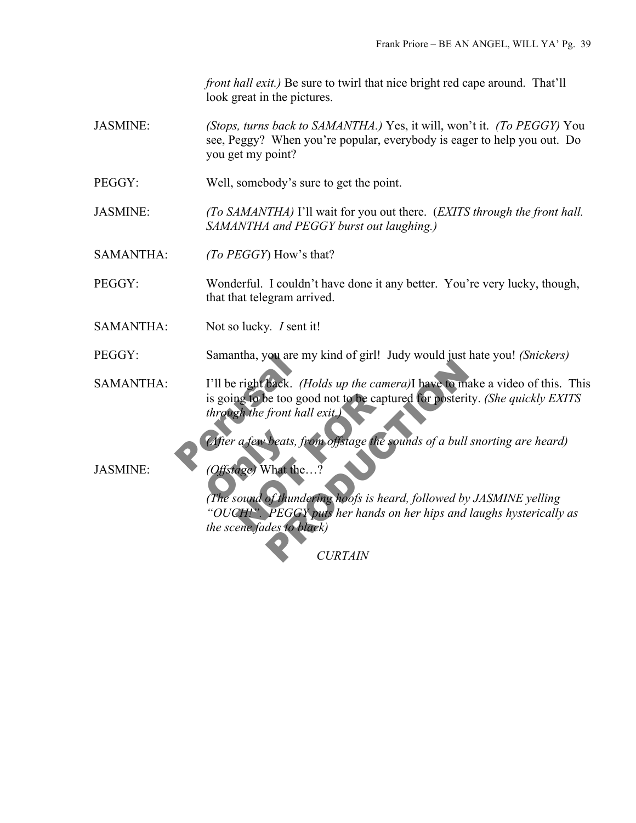*front hall exit.*) Be sure to twirl that nice bright red cape around. That'll look great in the pictures.

- JASMINE: *(Stops, turns back to SAMANTHA.)* Yes, it will, won't it. *(To PEGGY)* You see, Peggy? When you're popular, everybody is eager to help you out. Do you get my point?
- PEGGY: Well, somebody's sure to get the point.

JASMINE: *(To SAMANTHA)* I'll wait for you out there. (*EXITS through the front hall. SAMANTHA and PEGGY burst out laughing.)*

SAMANTHA: *(To PEGGY*) How's that?

PEGGY: Wonderful. I couldn't have done it any better. You're very lucky, though, that that telegram arrived.

SAMANTHA: Not so lucky*. I* sent it!

PEGGY: Samantha, you are my kind of girl! Judy would just hate you! *(Snickers)*

Samantha, you are my<br>
I'll be right back. (Ho<br>
is going to be too good<br>
through the front hall<br>
(After a few beats, from<br>
Offstage) What the SAMANTHA: I'll be right back. *(Holds up the camera)*I have to make a video of this. This is going to be too good not to be captured for posterity. *(She quickly EXITS through the front hall exit.)*

*(After a few beats, from offstage the sounds of a bull snorting are heard)*<br>
(Offstage) What the ...?<br>
(The sound of thundering hoofs is heard, followed by JASMINE velling)

JASMINE: *(Offstage)* What the…?

ng to be too good not to be capture<br>
gh the front hall exit.<br>
a few beats, from offstage the source<br>
age) What the...?<br>
sound of thundering hoofs is heard<br>
age) What the...?<br>
TH<sup>12</sup> PEGGY puts her hands on ene fades to bla Back. (Holds up the camera)I have to make a vid<br>that is to good not to be captured for posterity. (She is<br>front hall exit.)<br>beats, from offstage the sounds of a bull snorting<br>Vhat the...?<br>Of thundering hoofs is heard, foll *(The sound of thundering hoofs is heard, followed by JASMINE yelling "OUCH!". PEGGY puts her hands on her hips and laughs hysterically as the scene fades to black)*

*CURTAIN*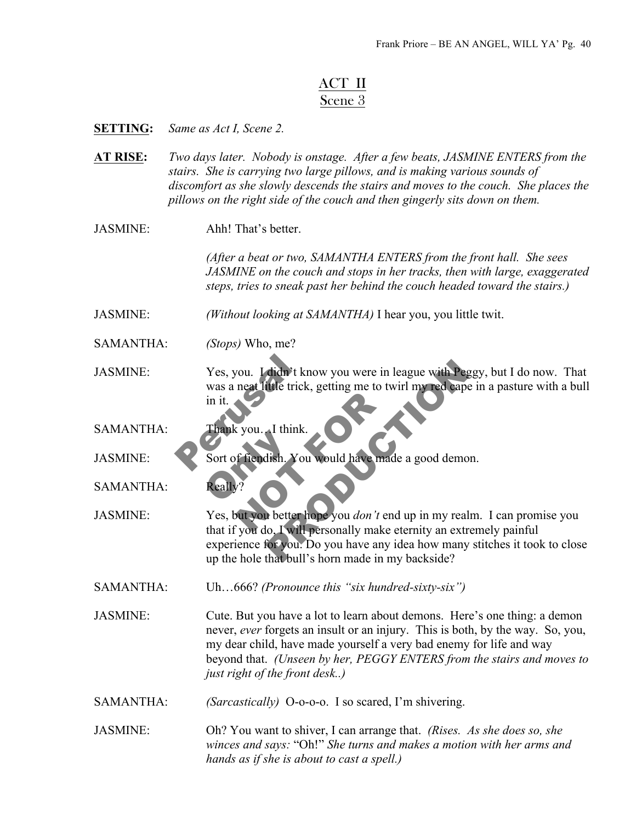## ACT II Scene 3

**SETTING:** *Same as Act I, Scene 2.*

- **AT RISE:** *Two days later. Nobody is onstage. After a few beats, JASMINE ENTERS from the stairs. She is carrying two large pillows, and is making various sounds of discomfort as she slowly descends the stairs and moves to the couch. She places the pillows on the right side of the couch and then gingerly sits down on them.*
- JASMINE: Ahh! That's better.

*(After a beat or two, SAMANTHA ENTERS from the front hall. She sees JASMINE on the couch and stops in her tracks, then with large, exaggerated steps, tries to sneak past her behind the couch headed toward the stairs.)*

JASMINE: *(Without looking at SAMANTHA)* I hear you, you little twit.

- SAMANTHA: *(Stops)* Who, me?
- Yes, you. I didn't kno<br>was a neat little trick, g<br>in it.<br>Thank you. I think.<br>Sort of fiendish. You JASMINE: Yes, you. I didn't know you were in league with Peggy, but I do now. That was a neat little trick, getting me to twirl my red cape in a pasture with a bull in it.

SAMANTHA: Thank you. I think.

Sort of fiendish. You

JASMINE: Sort of fiendish. You would have made a good demon.

SAMANTHA: Really?

Sous<br>
Sous-Turink.<br>
Sous-Turing and Marian Contract of the Marian Contract of the Sous don't end<br>
Not you do Twill personally make et Stadt a good demondial and the state of the state of the state of the state of the state of the state of the state of the state of the state of the state of the state of the state of the state of the state of the state of JASMINE: Yes, but you better hope you *don't* end up in my realm. I can promise you that if you do, I will personally make eternity an extremely painful experience for you. Do you have any idea how many stitches it took to close up the hole that bull's horn made in my backside?

SAMANTHA: Uh…666? *(Pronounce this "six hundred-sixty-six")*

JASMINE: Cute. But you have a lot to learn about demons. Here's one thing: a demon never, *ever* forgets an insult or an injury. This is both, by the way. So, you, my dear child, have made yourself a very bad enemy for life and way beyond that. *(Unseen by her, PEGGY ENTERS from the stairs and moves to just right of the front desk..)*

SAMANTHA: *(Sarcastically)* O-o-o-o. I so scared, I'm shivering.

JASMINE: Oh? You want to shiver, I can arrange that. *(Rises. As she does so, she winces and says:* "Oh!" *She turns and makes a motion with her arms and hands as if she is about to cast a spell.)*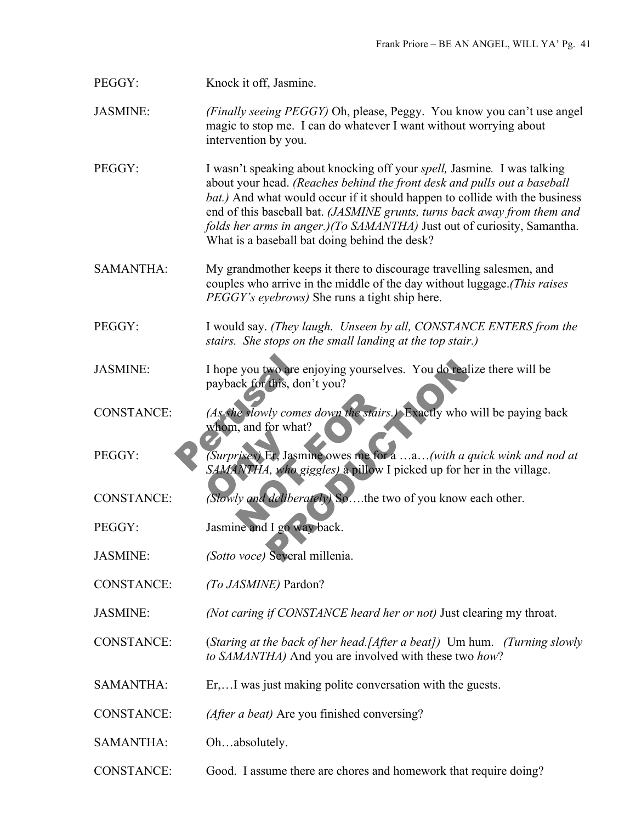## PEGGY: Knock it off, Jasmine.

JASMINE: *(Finally seeing PEGGY)* Oh, please, Peggy. You know you can't use angel magic to stop me. I can do whatever I want without worrying about intervention by you.

PEGGY: I wasn't speaking about knocking off your *spell,* Jasmine*.* I was talking about your head. *(Reaches behind the front desk and pulls out a baseball bat.)* And what would occur if it should happen to collide with the business end of this baseball bat. *(JASMINE grunts, turns back away from them and folds her arms in anger.)(To SAMANTHA)* Just out of curiosity, Samantha. What is a baseball bat doing behind the desk?

- SAMANTHA: My grandmother keeps it there to discourage travelling salesmen, and couples who arrive in the middle of the day without luggage.*(This raises PEGGY's eyebrows)* She runs a tight ship here.
- PEGGY: I would say. *(They laugh. Unseen by all, CONSTANCE ENTERS from the stairs. She stops on the small landing at the top stair.)*
- JASMINE: I hope you two are enjoying yourselves. You do realize there will be payback for this, don't you?
- I hope you two are enj<br>payback for this, don't<br>(As she slowly comes a<br>whom, and for what?<br>(Surprises) Er, Jasmine Re slowly comes down the stairs.)<br>
(a), and for what?<br>
(a) For a significancy of the fora .<br>
(a) INTHA, who giggles) a pillow I pillow I pillow I pillow I pillow I pillow I pillow I pillow I pillow is the two me and I go w wo are enjoying yourselves. You do realize there<br>this, don't you?<br>y comes down the stairs.) Exactly who will be p<br>for what?<br>Et, Jasmine owes me for a ...a...(with a quick with<br>4, who giggles) a pillow I picked up for her i CONSTANCE: *(As she slowly comes down the stairs.)* Exactly who will be paying back whom, and for what?

(Surprises) Et, Jasm<br>SAMANTHA, who go<br>Cowly and deliberation PEGGY: *(Surprises)* Er, Jasmine owes me for a …a…*(with a quick wink and nod at SAMANTHA, who giggles)* a pillow I picked up for her in the village.

- CONSTANCE: *(Slowly and deliberately)* So….the two of you know each other.
- PEGGY: Jasmine and I go way back.
- JASMINE: *(Sotto voce)* Several millenia.
- CONSTANCE: *(To JASMINE)* Pardon?
- JASMINE: *(Not caring if CONSTANCE heard her or not)* Just clearing my throat.

CONSTANCE: (*Staring at the back of her head.[After a beat])* Um hum. *(Turning slowly to SAMANTHA)* And you are involved with these two *how*?

- SAMANTHA: Er,...I was just making polite conversation with the guests.
- CONSTANCE: *(After a beat)* Are you finished conversing?
- SAMANTHA: Oh...absolutely.
- CONSTANCE: Good. I assume there are chores and homework that require doing?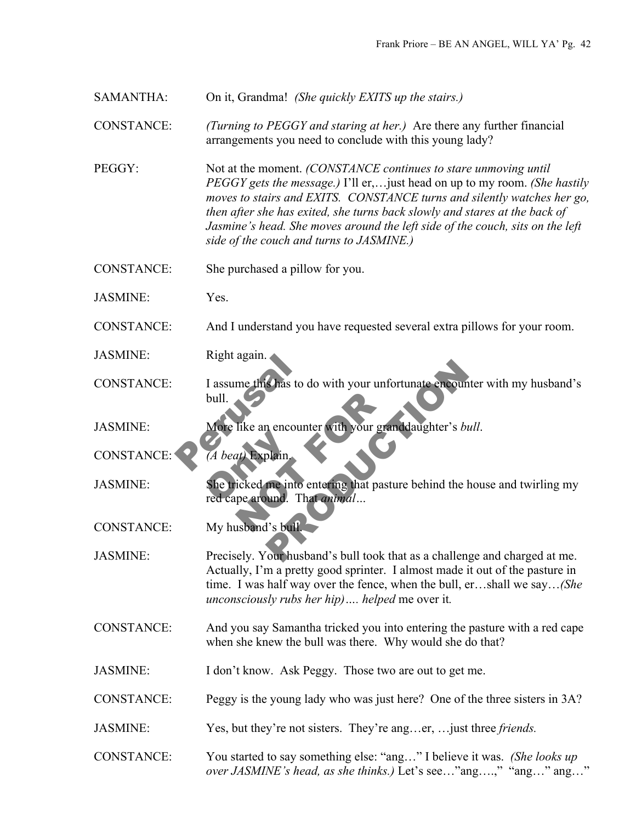SAMANTHA: On it, Grandma! *(She quickly EXITS up the stairs.)*

CONSTANCE: *(Turning to PEGGY and staring at her.)* Are there any further financial arrangements you need to conclude with this young lady?

PEGGY: Not at the moment. *(CONSTANCE continues to stare unmoving until PEGGY gets the message.)* I'll er,…just head on up to my room. *(She hastily moves to stairs and EXITS. CONSTANCE turns and silently watches her go, then after she has exited, she turns back slowly and stares at the back of Jasmine's head. She moves around the left side of the couch, sits on the left side of the couch and turns to JASMINE.)*

CONSTANCE: She purchased a pillow for you.

JASMINE: Yes.

CONSTANCE: And I understand you have requested several extra pillows for your room.

JASMINE: Right again.

Kight again.<br>
I assume this has to do<br>
bull.<br>
More like an encounte<br>
(A beat) Explain. Ike an encounter with your grand<br>at) Explain.<br>icked me into entering that pastur<br>pe around. That animal... Shas to do with your unfortunate encounter with<br>
n encounter with your granddaughter's bull.<br>
plain.<br>
That animal...<br>
I's bull<br>
Our husband's bull took that as a challenge and c CONSTANCE: I assume this has to do with your unfortunate encounter with my husband's bull.

JASMINE: More like an encounter with your granddaughter's *bull*.

red cape around. That *animal…*

(*A beat*) Explain<br>She tricked me into<br>red cape around. The CONSTANCE: *(A beat)* Explain.

JASMINE: She tricked me into entering that pasture behind the house and twirling my

CONSTANCE: My husband's bull.

JASMINE: Precisely. Your husband's bull took that as a challenge and charged at me. Actually, I'm a pretty good sprinter. I almost made it out of the pasture in time. I was half way over the fence, when the bull, er…shall we say…*(She unconsciously rubs her hip)…. helped* me over it*.*

CONSTANCE: And you say Samantha tricked you into entering the pasture with a red cape when she knew the bull was there. Why would she do that?

JASMINE: I don't know. Ask Peggy. Those two are out to get me.

CONSTANCE: Peggy is the young lady who was just here? One of the three sisters in 3A?

JASMINE: Yes, but they're not sisters. They're ang…er, …just three *friends.*

CONSTANCE: You started to say something else: "ang…" I believe it was. *(She looks up over JASMINE's head, as she thinks.)* Let's see…"ang….," "ang…" ang…"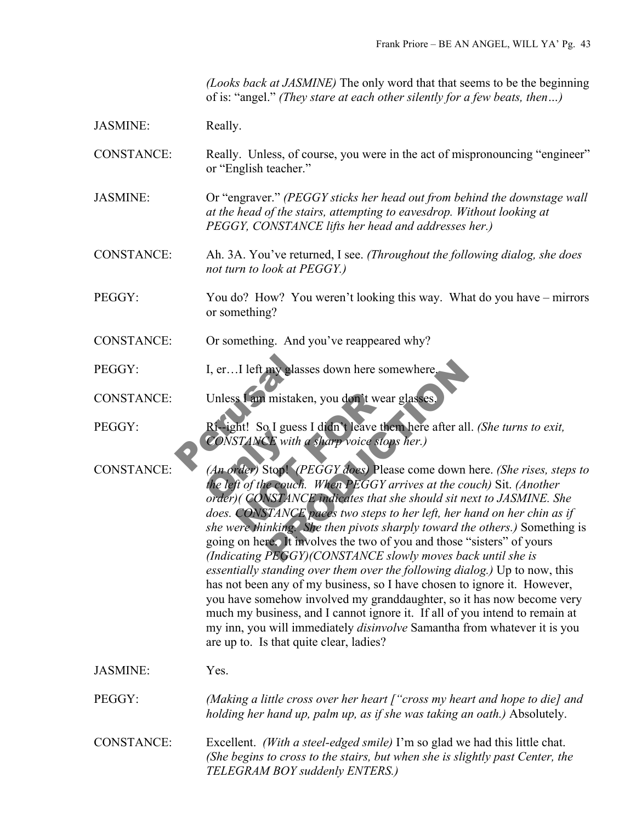*(Looks back at JASMINE)* The only word that that seems to be the beginning of is: "angel." *(They stare at each other silently for a few beats, then…)*

CONSTANCE: Really. Unless, of course, you were in the act of mispronouncing "engineer" or "English teacher."

JASMINE: Or "engraver." *(PEGGY sticks her head out from behind the downstage wall at the head of the stairs, attempting to eavesdrop. Without looking at PEGGY, CONSTANCE lifts her head and addresses her.)*

CONSTANCE: Ah. 3A. You've returned, I see. *(Throughout the following dialog, she does not turn to look at PEGGY.)*

PEGGY: You do? How? You weren't looking this way. What do you have – mirrors or something?

- CONSTANCE: Or something. And you've reappeared why?
- PEGGY: I, er…I left my glasses down here somewhere.
- CONSTANCE: Unless I am mistaken, you don't wear glasses.

I, er...I left my glasses<br>Unless Lam mistaken,<br>Ri-ight! So I guess I<br>CONSTANCE with a s PEGGY: Ri--ight! So I guess I didn't leave them here after all. *(She turns to exit, CONSTANCE with a sharp voice stops her.)*

CONSTANCE with a<br>
(An order) Stop! (P<br>
the left of the couch.<br>
order) (CONSTANC S Lam mistaken, you don't wear g<br>ht! So I guess I didn't leave then<br>STANCE with a sharp voice stops<br>vder) Stop! (PEGGY does) Please<br>ft of the couch. When PEGGY arr<br>(CONSTANCE paces two steps to<br>ere thinking. She then pivot my glasses down here somewhere.<br>
Inistaken, you don't wear glasses.<br>
D. I guess I didn't leave then here after all. (She tu<br>
X with a sharp voice stops her.)<br>
Stop! (PEGGY does) Please come down here. (She couch. When PEGG CONSTANCE: *(An order)* Stop! *(PEGGY does)* Please come down here. *(She rises, steps to the left of the couch. When PEGGY arrives at the couch)* Sit. *(Another order)( CONSTANCE indicates that she should sit next to JASMINE. She does. CONSTANCE paces two steps to her left, her hand on her chin as if she were thinking. She then pivots sharply toward the others.)* Something is going on here. It involves the two of you and those "sisters" of yours *(Indicating PEGGY)(CONSTANCE slowly moves back until she is essentially standing over them over the following dialog.)* Up to now, this has not been any of my business, so I have chosen to ignore it. However, you have somehow involved my granddaughter, so it has now become very much my business, and I cannot ignore it. If all of you intend to remain at my inn, you will immediately *disinvolve* Samantha from whatever it is you are up to. Is that quite clear, ladies?

JASMINE: Yes.

PEGGY: *(Making a little cross over her heart ["cross my heart and hope to die] and holding her hand up, palm up, as if she was taking an oath.)* Absolutely.

CONSTANCE: Excellent. *(With a steel-edged smile)* I'm so glad we had this little chat. *(She begins to cross to the stairs, but when she is slightly past Center, the TELEGRAM BOY suddenly ENTERS.)*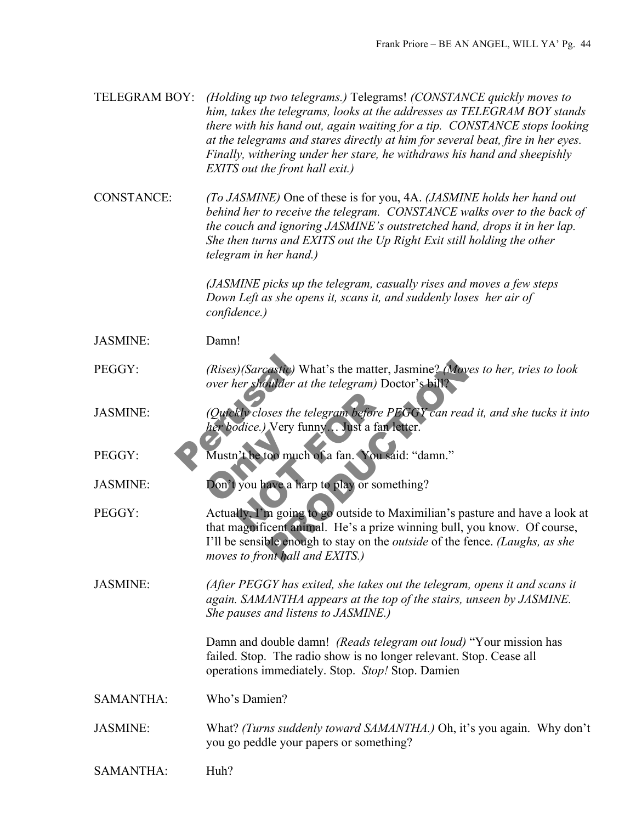| TELEGRAM BOY:     | (Holding up two telegrams.) Telegrams! (CONSTANCE quickly moves to<br>him, takes the telegrams, looks at the addresses as TELEGRAM BOY stands<br>there with his hand out, again waiting for a tip. CONSTANCE stops looking<br>at the telegrams and stares directly at him for several beat, fire in her eyes.<br>Finally, withering under her stare, he withdraws his hand and sheepishly<br>EXITS out the front hall exit.) |
|-------------------|------------------------------------------------------------------------------------------------------------------------------------------------------------------------------------------------------------------------------------------------------------------------------------------------------------------------------------------------------------------------------------------------------------------------------|
| <b>CONSTANCE:</b> | (To JASMINE) One of these is for you, 4A. (JASMINE holds her hand out<br>behind her to receive the telegram. CONSTANCE walks over to the back of<br>the couch and ignoring JASMINE's outstretched hand, drops it in her lap.<br>She then turns and EXITS out the Up Right Exit still holding the other<br>telegram in her hand.)                                                                                             |
|                   | (JASMINE picks up the telegram, casually rises and moves a few steps<br>Down Left as she opens it, scans it, and suddenly loses her air of<br>confidence.)                                                                                                                                                                                                                                                                   |
| <b>JASMINE:</b>   | Damn!                                                                                                                                                                                                                                                                                                                                                                                                                        |
| PEGGY:            | (Rises)(Sarcastic) What's the matter, Jasmine? (Moves to her, tries to look<br>over her shoulder at the telegram) Doctor's bill?                                                                                                                                                                                                                                                                                             |
| <b>JASMINE:</b>   | (Quickly closes the telegram before PEGGY can read it, and she tucks it into<br>her bodice.) Very funny. Oust a fan letter.                                                                                                                                                                                                                                                                                                  |
| PEGGY:            | Mustn't be too much of a fan. You said: "damn."                                                                                                                                                                                                                                                                                                                                                                              |
| <b>JASMINE:</b>   | Don't you have a harp to play or something?                                                                                                                                                                                                                                                                                                                                                                                  |
| PEGGY:            | Actually, I'm going to go outside to Maximilian's pasture and have a look at<br>that magnificent animal. He's a prize winning bull, you know. Of course,<br>I'll be sensible enough to stay on the <i>outside</i> of the fence. (Laughs, as she<br>moves to front hall and EXITS.)                                                                                                                                           |
| <b>JASMINE:</b>   | (After PEGGY has exited, she takes out the telegram, opens it and scans it<br>again. SAMANTHA appears at the top of the stairs, unseen by JASMINE.<br>She pauses and listens to JASMINE.)                                                                                                                                                                                                                                    |
|                   | Damn and double damn! (Reads telegram out loud) "Your mission has<br>failed. Stop. The radio show is no longer relevant. Stop. Cease all<br>operations immediately. Stop. Stop! Stop. Damien                                                                                                                                                                                                                                 |
| <b>SAMANTHA:</b>  | Who's Damien?                                                                                                                                                                                                                                                                                                                                                                                                                |
| <b>JASMINE:</b>   | What? (Turns suddenly toward SAMANTHA.) Oh, it's you again. Why don't<br>you go peddle your papers or something?                                                                                                                                                                                                                                                                                                             |
| <b>SAMANTHA:</b>  | Huh?                                                                                                                                                                                                                                                                                                                                                                                                                         |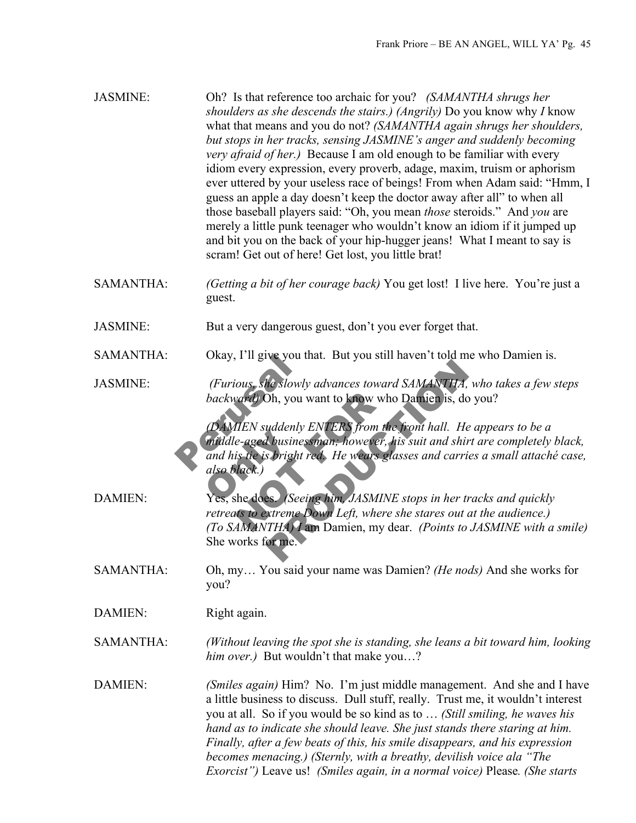| <b>JASMINE:</b>  | Oh? Is that reference too archaic for you? (SAMANTHA shrugs her<br>shoulders as she descends the stairs.) (Angrily) Do you know why I know<br>what that means and you do not? (SAMANTHA again shrugs her shoulders,<br>but stops in her tracks, sensing JASMINE's anger and suddenly becoming<br><i>very afraid of her.</i> ) Because I am old enough to be familiar with every<br>idiom every expression, every proverb, adage, maxim, truism or aphorism<br>ever uttered by your useless race of beings! From when Adam said: "Hmm, I<br>guess an apple a day doesn't keep the doctor away after all" to when all<br>those baseball players said: "Oh, you mean <i>those</i> steroids." And you are<br>merely a little punk teenager who wouldn't know an idiom if it jumped up<br>and bit you on the back of your hip-hugger jeans! What I meant to say is<br>scram! Get out of here! Get lost, you little brat! |
|------------------|---------------------------------------------------------------------------------------------------------------------------------------------------------------------------------------------------------------------------------------------------------------------------------------------------------------------------------------------------------------------------------------------------------------------------------------------------------------------------------------------------------------------------------------------------------------------------------------------------------------------------------------------------------------------------------------------------------------------------------------------------------------------------------------------------------------------------------------------------------------------------------------------------------------------|
| <b>SAMANTHA:</b> | (Getting a bit of her courage back) You get lost! I live here. You're just a<br>guest.                                                                                                                                                                                                                                                                                                                                                                                                                                                                                                                                                                                                                                                                                                                                                                                                                              |
| <b>JASMINE:</b>  | But a very dangerous guest, don't you ever forget that.                                                                                                                                                                                                                                                                                                                                                                                                                                                                                                                                                                                                                                                                                                                                                                                                                                                             |
| SAMANTHA:        | Okay, I'll give you that. But you still haven't told me who Damien is.                                                                                                                                                                                                                                                                                                                                                                                                                                                                                                                                                                                                                                                                                                                                                                                                                                              |
| <b>JASMINE:</b>  | (Furious, she slowly advances toward SAMANTHA, who takes a few steps<br>backward) Oh, you want to know who Damien is, do you?<br>(DAMIEN suddenly ENTERS from the front hall. He appears to be a                                                                                                                                                                                                                                                                                                                                                                                                                                                                                                                                                                                                                                                                                                                    |
| <b>DAMIEN:</b>   | middle-aged businessman; however, his suit and shirt are completely black,<br>and his tie is bright red. He wears glasses and carries a small attaché case,<br>also black.)<br>Yes, she does. <i>(Seeing him, JASMINE stops in her tracks and quickly</i><br>retreats to extreme Down Left, where she stares out at the audience.)                                                                                                                                                                                                                                                                                                                                                                                                                                                                                                                                                                                  |
|                  | (To SAMANTHA) I am Damien, my dear. (Points to JASMINE with a smile)<br>She works for me.                                                                                                                                                                                                                                                                                                                                                                                                                                                                                                                                                                                                                                                                                                                                                                                                                           |
| <b>SAMANTHA:</b> | Oh, my You said your name was Damien? (He nods) And she works for<br>you?                                                                                                                                                                                                                                                                                                                                                                                                                                                                                                                                                                                                                                                                                                                                                                                                                                           |
| DAMIEN:          | Right again.                                                                                                                                                                                                                                                                                                                                                                                                                                                                                                                                                                                                                                                                                                                                                                                                                                                                                                        |
| <b>SAMANTHA:</b> | (Without leaving the spot she is standing, she leans a bit toward him, looking<br>him over.) But wouldn't that make you?                                                                                                                                                                                                                                                                                                                                                                                                                                                                                                                                                                                                                                                                                                                                                                                            |
| <b>DAMIEN:</b>   | (Smiles again) Him? No. I'm just middle management. And she and I have<br>a little business to discuss. Dull stuff, really. Trust me, it wouldn't interest<br>you at all. So if you would be so kind as to  (Still smiling, he waves his<br>hand as to indicate she should leave. She just stands there staring at him.<br>Finally, after a few beats of this, his smile disappears, and his expression<br>becomes menacing.) (Sternly, with a breathy, devilish voice ala "The<br>Exorcist") Leave us! (Smiles again, in a normal voice) Please. (She starts                                                                                                                                                                                                                                                                                                                                                       |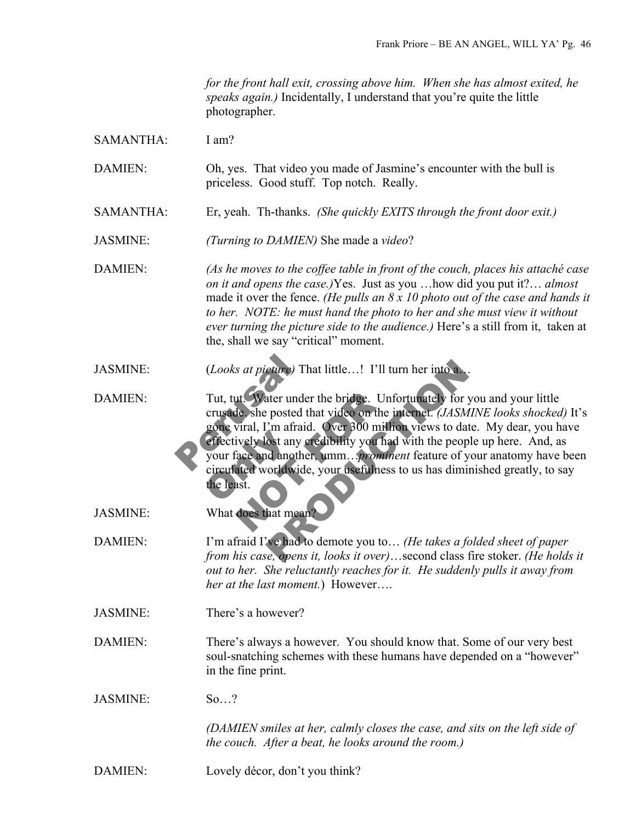*for the front hall exit, crossing above him. When she has almost exited, he speaks again.)* Incidentally, I understand that you're quite the little photographer.

SAMANTHA: I am?

DAMIEN: Oh, yes. That video you made of Jasmine's encounter with the bull is priceless. Good stuff. Top notch. Really.

SAMANTHA: Er, yeah. Th-thanks. *(She quickly EXITS through the front door exit.)*

JASMINE: *(Turning to DAMIEN)* She made a *video*?

DAMIEN: *(As he moves to the coffee table in front of the couch, places his attaché case on it and opens the case.)*Yes. Just as you …how did you put it?… *almost* made it over the fence. *(He pulls an 8 x 10 photo out of the case and hands it to her. NOTE: he must hand the photo to her and she must view it without ever turning the picture side to the audience.)* Here's a still from it, taken at the, shall we say "critical" moment.

JASMINE: (*Looks at picture)* That little…! I'll turn her into a…

(*Looks at picture*) Tha<br>
Tut, tut. Water under the<br>
crusade, she posted that<br>
gone viral, I'm afraid.<br>
effectively lost any cre<br>
your face and another,<br>
circulated worldwide effectively lost any of<br>your face and another<br>circulated worldwidthe least. ut. Water under the bridge. Unforce the she posted that video on the in<br>viral, I'm afraid. Over 300 million<br>ively lost any credibility you had<br>ace and another, umm....*promines*<br>ated worldwide, your usefulness that. France) That little...! I'll turn her into a<br>stater under the bridge. Unfortunately for you and<br>posted that video on the internet. (*JASMINE loo*.<br>2m afraid. Over 300 million views to date. My cost any credibility you had DAMIEN: Tut, tut. Water under the bridge. Unfortunately for you and your little crusade, she posted that video on the internet. *(JASMINE looks shocked)* It's gone viral, I'm afraid. Over 300 million views to date. My dear, you have effectively lost any credibility you had with the people up here. And, as your face and another, umm…*prominent* feature of your anatomy have been circulated worldwide, your usefulness to us has diminished greatly, to say the least.

JASMINE: What does that mean?

DAMIEN: I'm afraid I've had to demote you to… *(He takes a folded sheet of paper from his case, opens it, looks it over)*…second class fire stoker. *(He holds it out to her. She reluctantly reaches for it. He suddenly pulls it away from her at the last moment.*) However….

JASMINE: There's a however?

DAMIEN: There's always a however. You should know that. Some of our very best soul-snatching schemes with these humans have depended on a "however" in the fine print.

JASMINE: So…?

*(DAMIEN smiles at her, calmly closes the case, and sits on the left side of the couch. After a beat, he looks around the room.)*

DAMIEN: Lovely décor, don't you think?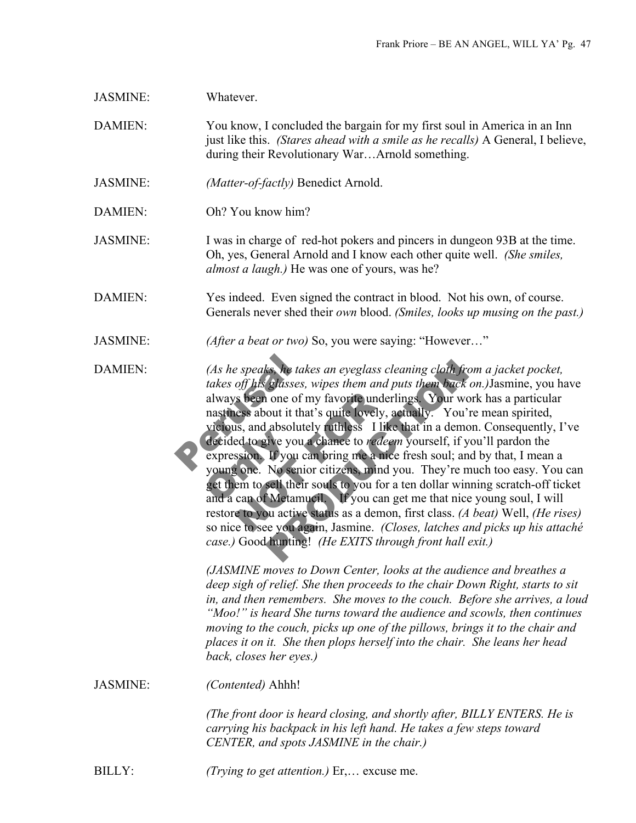| <b>JASMINE:</b> | Whatever.                                                                                                                                                                                                                                                                                                                                                                                                                                                                                                                                                                                                                                                                                                                                                                                                                                                                                                                                                                                                                                                                                                                                                                                                                                                                                                                                                                                                                                                                                                                                |
|-----------------|------------------------------------------------------------------------------------------------------------------------------------------------------------------------------------------------------------------------------------------------------------------------------------------------------------------------------------------------------------------------------------------------------------------------------------------------------------------------------------------------------------------------------------------------------------------------------------------------------------------------------------------------------------------------------------------------------------------------------------------------------------------------------------------------------------------------------------------------------------------------------------------------------------------------------------------------------------------------------------------------------------------------------------------------------------------------------------------------------------------------------------------------------------------------------------------------------------------------------------------------------------------------------------------------------------------------------------------------------------------------------------------------------------------------------------------------------------------------------------------------------------------------------------------|
| DAMIEN:         | You know, I concluded the bargain for my first soul in America in an Inn<br>just like this. (Stares ahead with a smile as he recalls) A General, I believe,<br>during their Revolutionary WarArnold something.                                                                                                                                                                                                                                                                                                                                                                                                                                                                                                                                                                                                                                                                                                                                                                                                                                                                                                                                                                                                                                                                                                                                                                                                                                                                                                                           |
| <b>JASMINE:</b> | (Matter-of-factly) Benedict Arnold.                                                                                                                                                                                                                                                                                                                                                                                                                                                                                                                                                                                                                                                                                                                                                                                                                                                                                                                                                                                                                                                                                                                                                                                                                                                                                                                                                                                                                                                                                                      |
| <b>DAMIEN:</b>  | Oh? You know him?                                                                                                                                                                                                                                                                                                                                                                                                                                                                                                                                                                                                                                                                                                                                                                                                                                                                                                                                                                                                                                                                                                                                                                                                                                                                                                                                                                                                                                                                                                                        |
| <b>JASMINE:</b> | I was in charge of red-hot pokers and pincers in dungeon 93B at the time.<br>Oh, yes, General Arnold and I know each other quite well. (She smiles,<br>almost a laugh.) He was one of yours, was he?                                                                                                                                                                                                                                                                                                                                                                                                                                                                                                                                                                                                                                                                                                                                                                                                                                                                                                                                                                                                                                                                                                                                                                                                                                                                                                                                     |
| DAMIEN:         | Yes indeed. Even signed the contract in blood. Not his own, of course.<br>Generals never shed their own blood. (Smiles, looks up musing on the past.)                                                                                                                                                                                                                                                                                                                                                                                                                                                                                                                                                                                                                                                                                                                                                                                                                                                                                                                                                                                                                                                                                                                                                                                                                                                                                                                                                                                    |
| <b>JASMINE:</b> | (After a beat or two) So, you were saying: "However"                                                                                                                                                                                                                                                                                                                                                                                                                                                                                                                                                                                                                                                                                                                                                                                                                                                                                                                                                                                                                                                                                                                                                                                                                                                                                                                                                                                                                                                                                     |
| <b>DAMIEN:</b>  | (As he speaks, he takes an eyeglass cleaning cloth from a jacket pocket,<br>takes off his glasses, wipes them and puts them back on.) Jasmine, you have<br>always been one of my favorite underlings. Your work has a particular<br>nastiness about it that's quite lovely, actually. You're mean spirited,<br>vicious, and absolutely ruthless I like that in a demon. Consequently, I've<br>decided to give you a chance to <i>redeem</i> yourself, if you'll pardon the<br>expression. If you can bring me a nice fresh soul; and by that, I mean a<br>young one. No senior citizens, mind you. They're much too easy. You can<br>get them to sell their souls to you for a ten dollar winning scratch-off ticket<br>and a can of Metamucil. If you can get me that nice young soul, I will<br>restore to you active status as a demon, first class. (A beat) Well, (He rises)<br>so nice to see you again, Jasmine. (Closes, latches and picks up his attaché<br>case.) Good hunting! (He EXITS through front hall exit.)<br>(JASMINE moves to Down Center, looks at the audience and breathes a<br>deep sigh of relief. She then proceeds to the chair Down Right, starts to sit<br>in, and then remembers. She moves to the couch. Before she arrives, a loud<br>"Moo!" is heard She turns toward the audience and scowls, then continues<br>moving to the couch, picks up one of the pillows, brings it to the chair and<br>places it on it. She then plops herself into the chair. She leans her head<br>back, closes her eyes.) |
| <b>JASMINE:</b> | (Contented) Ahhh!                                                                                                                                                                                                                                                                                                                                                                                                                                                                                                                                                                                                                                                                                                                                                                                                                                                                                                                                                                                                                                                                                                                                                                                                                                                                                                                                                                                                                                                                                                                        |
|                 | (The front door is heard closing, and shortly after, BILLY ENTERS. He is<br>carrying his backpack in his left hand. He takes a few steps toward<br>CENTER, and spots JASMINE in the chair.)                                                                                                                                                                                                                                                                                                                                                                                                                                                                                                                                                                                                                                                                                                                                                                                                                                                                                                                                                                                                                                                                                                                                                                                                                                                                                                                                              |
| <b>BILLY:</b>   | (Trying to get attention.) Er, excuse me.                                                                                                                                                                                                                                                                                                                                                                                                                                                                                                                                                                                                                                                                                                                                                                                                                                                                                                                                                                                                                                                                                                                                                                                                                                                                                                                                                                                                                                                                                                |